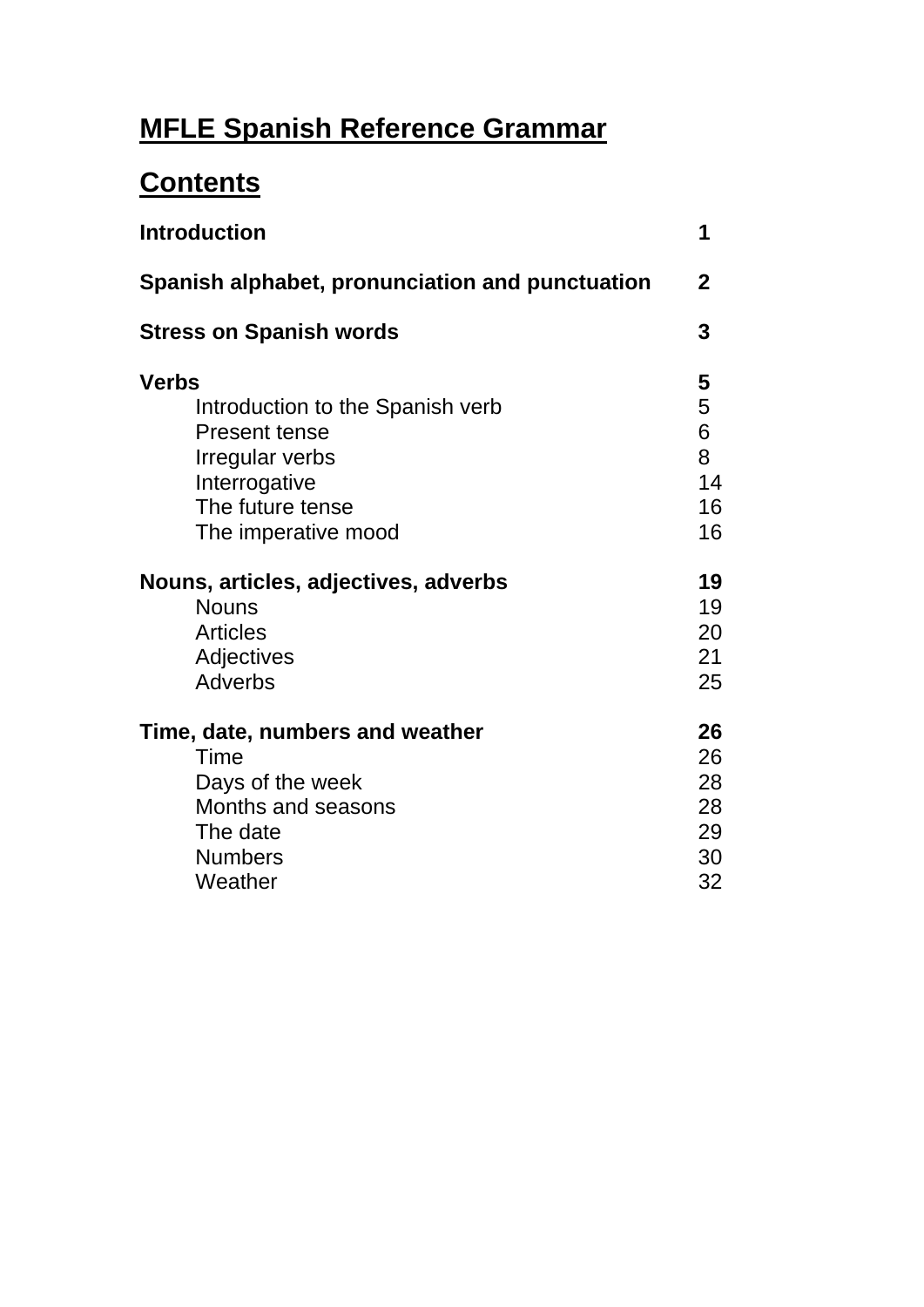# **MFLE Spanish Reference Grammar**

# **Contents**

| 1                                                    |
|------------------------------------------------------|
| $\mathbf 2$                                          |
| 3                                                    |
| 5<br>5<br>6<br>8<br>14<br>16<br>16<br>19<br>19<br>20 |
| 21<br>25                                             |
| 26<br>26<br>28<br>28<br>29<br>30<br>32               |
|                                                      |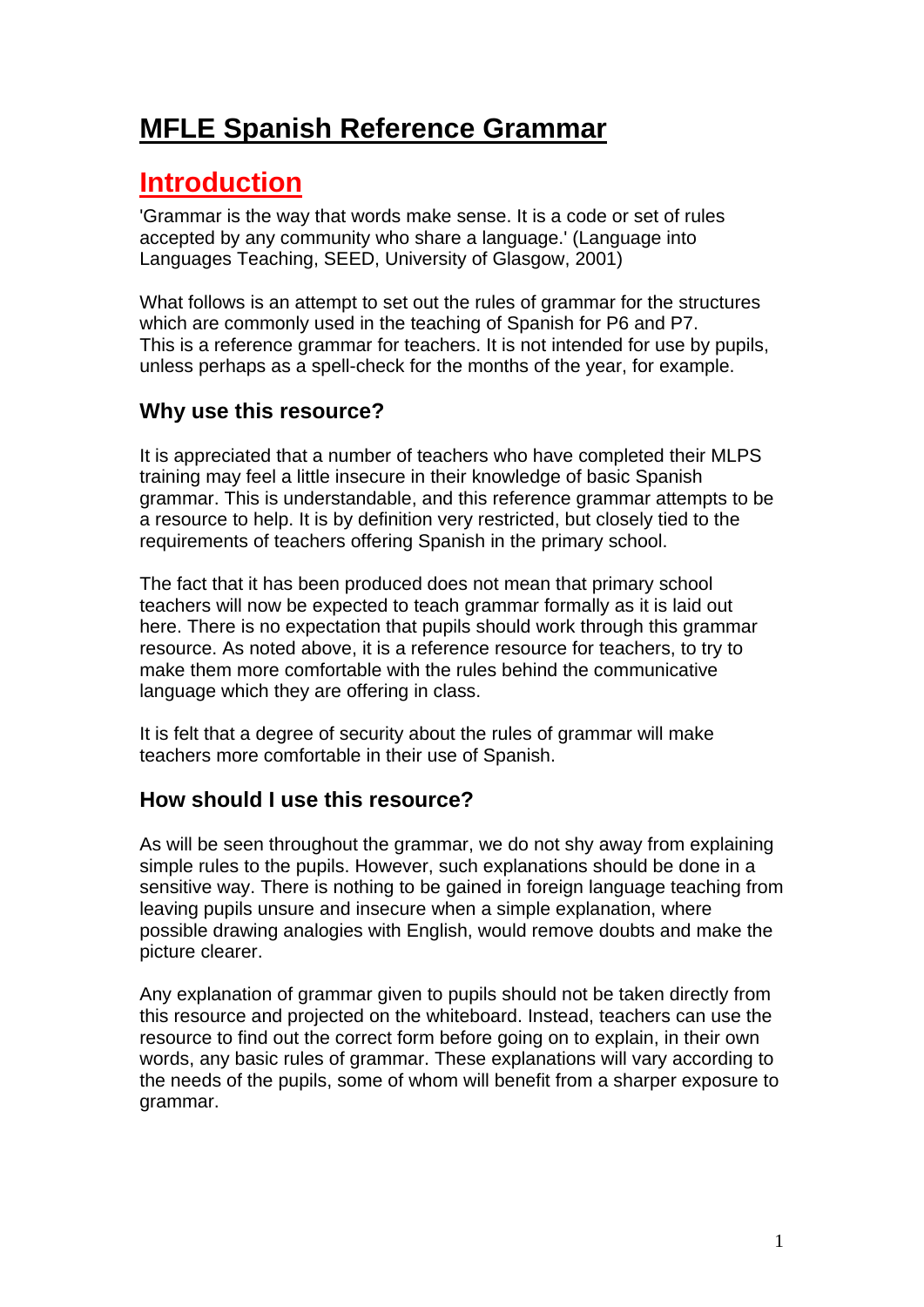# **MFLE Spanish Reference Grammar**

# **Introduction**

'Grammar is the way that words make sense. It is a code or set of rules accepted by any community who share a language.' (Language into Languages Teaching, SEED, University of Glasgow, 2001)

What follows is an attempt to set out the rules of grammar for the structures which are commonly used in the teaching of Spanish for P6 and P7. This is a reference grammar for teachers. It is not intended for use by pupils, unless perhaps as a spell-check for the months of the year, for example.

## **Why use this resource?**

It is appreciated that a number of teachers who have completed their MLPS training may feel a little insecure in their knowledge of basic Spanish grammar. This is understandable, and this reference grammar attempts to be a resource to help. It is by definition very restricted, but closely tied to the requirements of teachers offering Spanish in the primary school.

The fact that it has been produced does not mean that primary school teachers will now be expected to teach grammar formally as it is laid out here. There is no expectation that pupils should work through this grammar resource. As noted above, it is a reference resource for teachers, to try to make them more comfortable with the rules behind the communicative language which they are offering in class.

It is felt that a degree of security about the rules of grammar will make teachers more comfortable in their use of Spanish.

## **How should I use this resource?**

As will be seen throughout the grammar, we do not shy away from explaining simple rules to the pupils. However, such explanations should be done in a sensitive way. There is nothing to be gained in foreign language teaching from leaving pupils unsure and insecure when a simple explanation, where possible drawing analogies with English, would remove doubts and make the picture clearer.

Any explanation of grammar given to pupils should not be taken directly from this resource and projected on the whiteboard. Instead, teachers can use the resource to find out the correct form before going on to explain, in their own words, any basic rules of grammar. These explanations will vary according to the needs of the pupils, some of whom will benefit from a sharper exposure to grammar.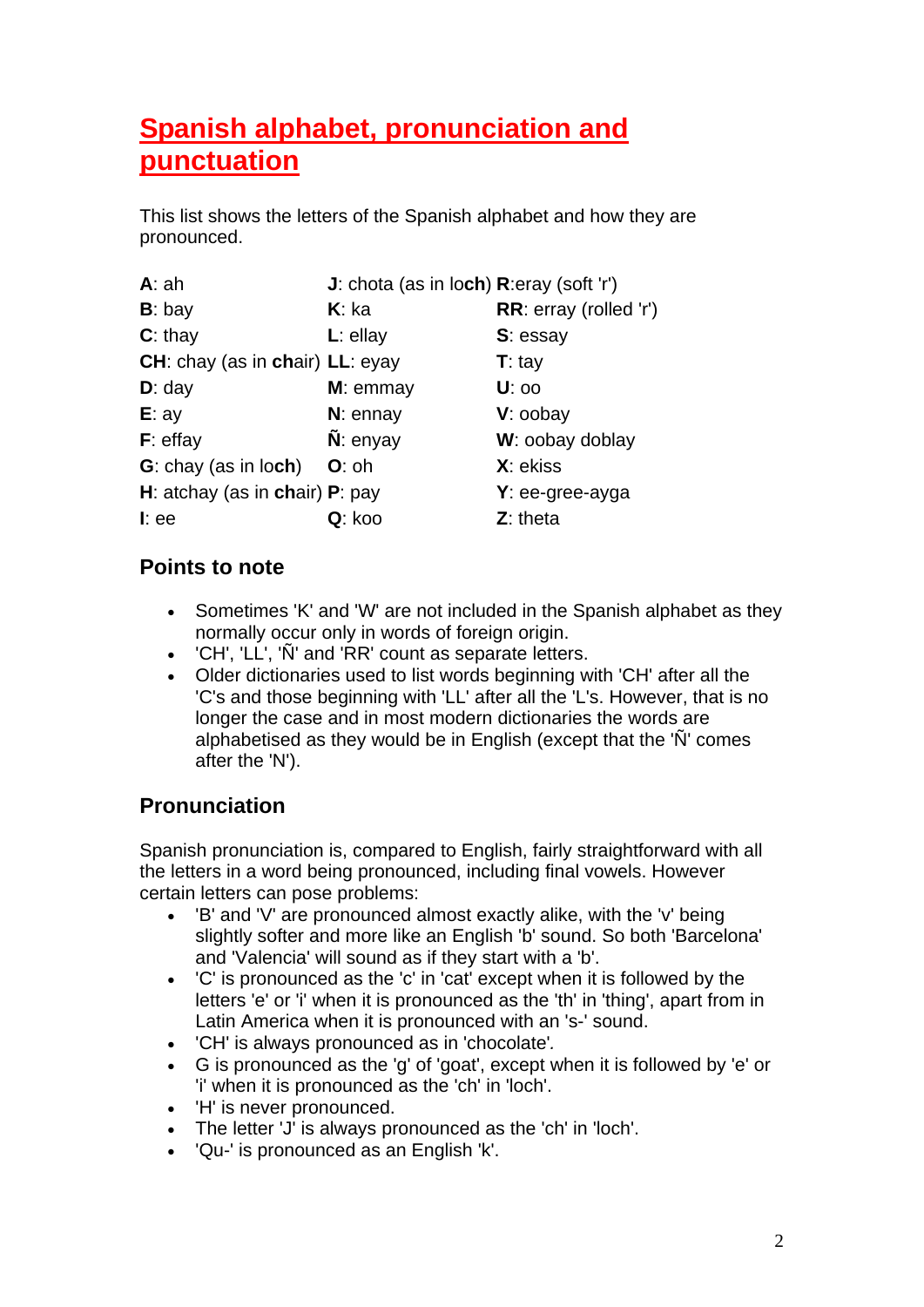# **Spanish alphabet, pronunciation and punctuation**

This list shows the letters of the Spanish alphabet and how they are pronounced.

| A:ah                            | J: chota (as in loch) R:eray (soft 'r') |                        |
|---------------------------------|-----------------------------------------|------------------------|
| $B:$ bay                        | $K:$ ka                                 | RR: erray (rolled 'r') |
| $C:$ thay                       | $L:$ ellay                              | S: essay               |
| CH: chay (as in chair) LL: eyay |                                         | $T:$ tay               |
| $D:$ day                        | $M:$ emmay                              | <b>U</b> : 00          |
| E:ay                            | $N:$ ennay                              | V: oobay               |
| $F:$ effay                      | $\tilde{\mathsf{N}}$ : enyay            | W: oobay doblay        |
| <b>G</b> : chay (as in loch)    | $O:$ oh                                 | X: ekiss               |
| H: atchay (as in chair) P: pay  |                                         | $Y:$ ee-gree-ayga      |
| $l$ : ee                        | Q: koo                                  | $Z:$ theta             |

## **Points to note**

- Sometimes 'K' and 'W' are not included in the Spanish alphabet as they normally occur only in words of foreign origin.
- 'CH', 'LL', 'Ñ' and 'RR' count as separate letters.
- Older dictionaries used to list words beginning with 'CH' after all the 'C's and those beginning with 'LL' after all the 'L's. However, that is no longer the case and in most modern dictionaries the words are alphabetised as they would be in English (except that the 'Ñ' comes after the 'N').

## **Pronunciation**

Spanish pronunciation is, compared to English, fairly straightforward with all the letters in a word being pronounced, including final vowels. However certain letters can pose problems:

- 'B' and 'V' are pronounced almost exactly alike, with the 'v' being slightly softer and more like an English 'b' sound. So both 'Barcelona' and 'Valencia' will sound as if they start with a 'b'.
- 'C' is pronounced as the 'c' in 'cat' except when it is followed by the letters 'e' or 'i' when it is pronounced as the 'th' in 'thing', apart from in Latin America when it is pronounced with an 's-' sound.
- 'CH' is always pronounced as in 'chocolate'*.*
- G is pronounced as the 'g' of 'goat', except when it is followed by 'e' or 'i' when it is pronounced as the 'ch' in 'loch'.
- 'H' is never pronounced.
- The letter 'J' is always pronounced as the 'ch' in 'loch'.
- 'Qu-' is pronounced as an English 'k'.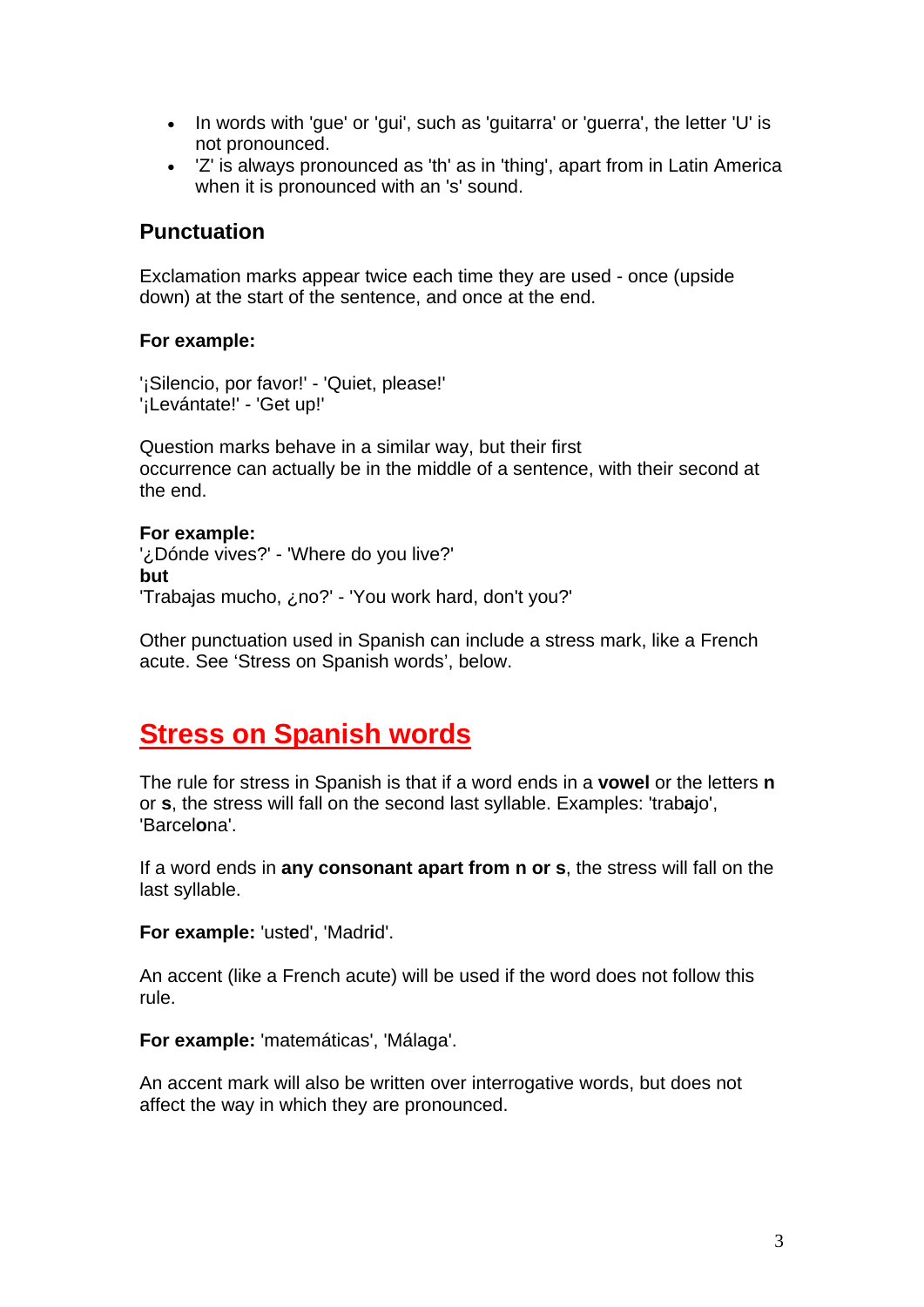- In words with 'gue' or 'gui', such as 'guitarra' or 'guerra', the letter 'U' is not pronounced.
- 'Z' is always pronounced as 'th' as in 'thing', apart from in Latin America when it is pronounced with an 's' sound.

## **Punctuation**

Exclamation marks appear twice each time they are used - once (upside down) at the start of the sentence, and once at the end.

#### **For example:**

'¡Silencio, por favor!' - 'Quiet, please!' '¡Levántate!' - 'Get up!'

Question marks behave in a similar way, but their first occurrence can actually be in the middle of a sentence, with their second at the end.

#### **For example:**

'¿Dónde vives?' - 'Where do you live?' **but** 'Trabajas mucho, ¿no?' - 'You work hard, don't you?'

Other punctuation used in Spanish can include a stress mark, like a French acute. See 'Stress on Spanish words', below.

## **Stress on Spanish words**

The rule for stress in Spanish is that if a word ends in a **vowel** or the letters **n** or **s**, the stress will fall on the second last syllable. Examples: 'trab**a**jo', 'Barcel**o**na'.

If a word ends in **any consonant apart from n or s**, the stress will fall on the last syllable.

**For example:** 'ust**e**d', 'Madr**i**d'.

An accent (like a French acute) will be used if the word does not follow this rule.

**For example:** 'matemáticas', 'Málaga'.

An accent mark will also be written over interrogative words, but does not affect the way in which they are pronounced.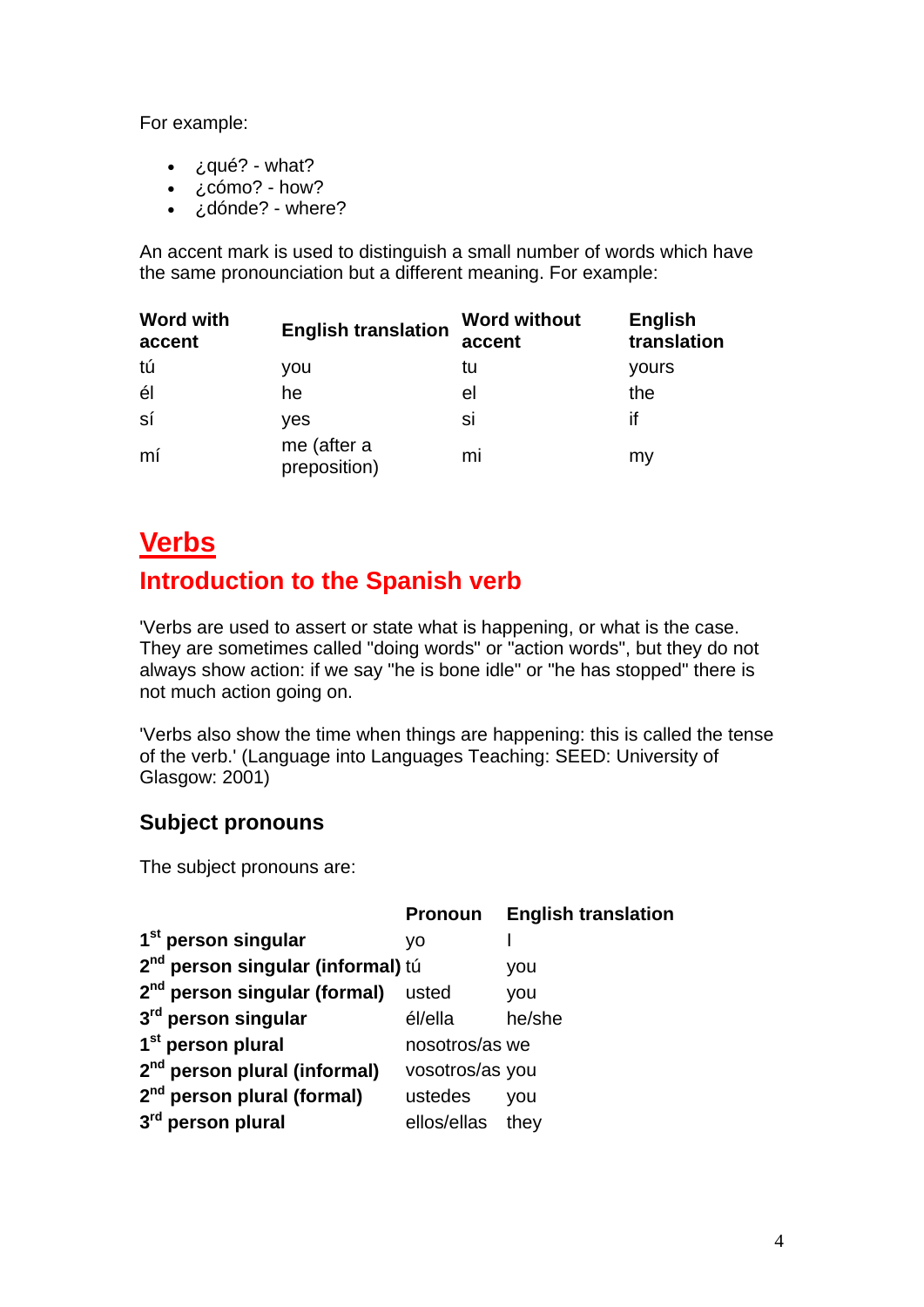For example:

- $\zeta$ qué? what?
- ¿cómo? how?
- ¿dónde? where?

An accent mark is used to distinguish a small number of words which have the same pronounciation but a different meaning. For example:

| <b>Word with</b><br>accent | <b>English translation</b>  | <b>Word without</b><br>accent | <b>English</b><br>translation |
|----------------------------|-----------------------------|-------------------------------|-------------------------------|
| tú                         | you                         | tu                            | yours                         |
| él                         | he                          | el                            | the                           |
| sí                         | yes                         | si                            | if                            |
| mí                         | me (after a<br>preposition) | mi                            | my                            |

# **Verbs**

# **Introduction to the Spanish verb**

'Verbs are used to assert or state what is happening, or what is the case. They are sometimes called "doing words" or "action words", but they do not always show action: if we say "he is bone idle" or "he has stopped" there is not much action going on.

'Verbs also show the time when things are happening: this is called the tense of the verb.' (Language into Languages Teaching: SEED: University of Glasgow: 2001)

## **Subject pronouns**

The subject pronouns are:

|                                               | <b>Pronoun</b>   | <b>English translation</b> |
|-----------------------------------------------|------------------|----------------------------|
| 1 <sup>st</sup> person singular               | ۷O               |                            |
| 2 <sup>nd</sup> person singular (informal) tú |                  | you                        |
| 2 <sup>nd</sup> person singular (formal)      | usted            | you                        |
| 3 <sup>rd</sup> person singular               | él/ella          | he/she                     |
| 1 <sup>st</sup> person plural                 | nosotros/as we   |                            |
| 2 <sup>nd</sup> person plural (informal)      | vosotros/as you  |                            |
| 2 <sup>nd</sup> person plural (formal)        | ustedes          | you                        |
| 3 <sup>rd</sup> person plural                 | ellos/ellas they |                            |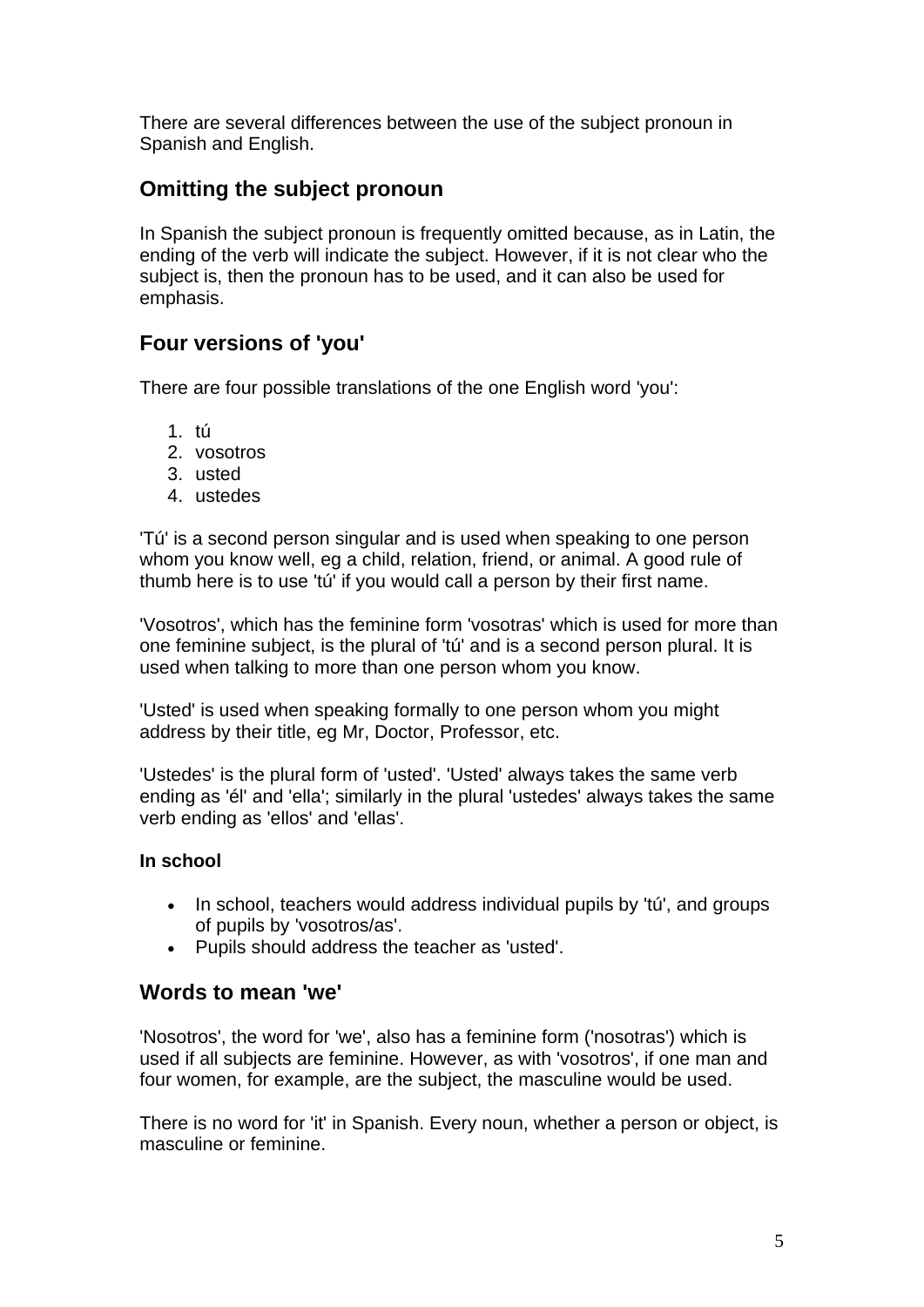There are several differences between the use of the subject pronoun in Spanish and English.

## **Omitting the subject pronoun**

In Spanish the subject pronoun is frequently omitted because, as in Latin, the ending of the verb will indicate the subject. However, if it is not clear who the subject is, then the pronoun has to be used, and it can also be used for emphasis.

## **Four versions of 'you'**

There are four possible translations of the one English word 'you':

- 1. tú
- 2. vosotros
- 3. usted
- 4. ustedes

'Tú' is a second person singular and is used when speaking to one person whom you know well, eg a child, relation, friend, or animal. A good rule of thumb here is to use 'tú' if you would call a person by their first name.

'Vosotros', which has the feminine form 'vosotras' which is used for more than one feminine subject, is the plural of 'tú' and is a second person plural. It is used when talking to more than one person whom you know.

'Usted' is used when speaking formally to one person whom you might address by their title, eg Mr, Doctor, Professor, etc.

'Ustedes' is the plural form of 'usted'. 'Usted' always takes the same verb ending as 'él' and 'ella'; similarly in the plural 'ustedes' always takes the same verb ending as 'ellos' and 'ellas'.

#### **In school**

- In school, teachers would address individual pupils by 'tú', and groups of pupils by 'vosotros/as'.
- Pupils should address the teacher as 'usted'.

## **Words to mean 'we'**

'Nosotros', the word for 'we', also has a feminine form ('nosotras') which is used if all subjects are feminine. However, as with 'vosotros', if one man and four women, for example, are the subject, the masculine would be used.

There is no word for 'it' in Spanish. Every noun, whether a person or object, is masculine or feminine.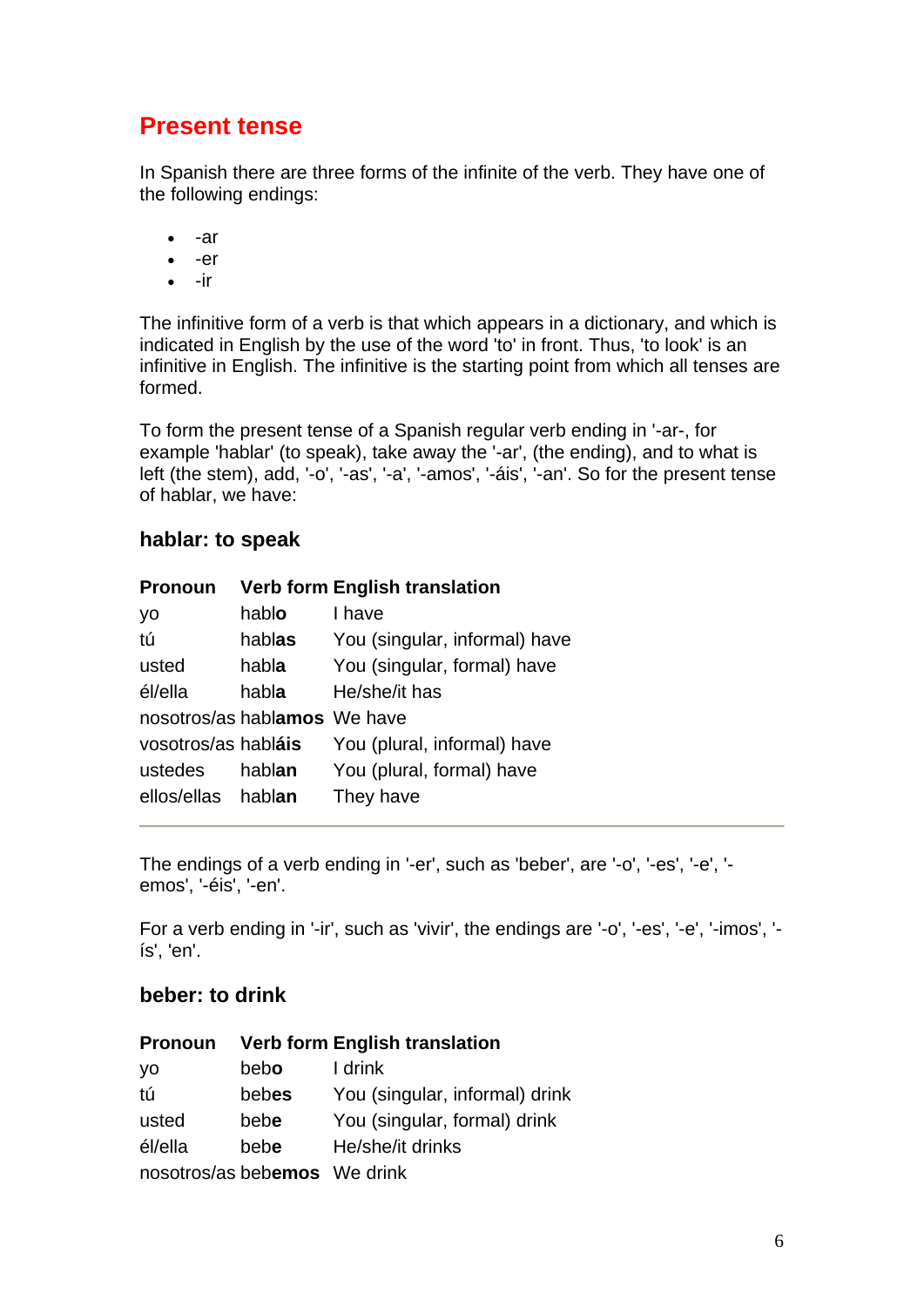## **Present tense**

In Spanish there are three forms of the infinite of the verb. They have one of the following endings:

- -ar
- -er
- $\bullet$   $-ir$

The infinitive form of a verb is that which appears in a dictionary, and which is indicated in English by the use of the word 'to' in front. Thus, 'to look' is an infinitive in English. The infinitive is the starting point from which all tenses are formed.

To form the present tense of a Spanish regular verb ending in '-ar-, for example 'hablar' (to speak), take away the '-ar', (the ending), and to what is left (the stem), add, '-o', '-as', '-a', '-amos', '-áis', '-an'. So for the present tense of hablar, we have:

### **hablar: to speak**

| <b>Pronoun</b>               |        | <b>Verb form English translation</b> |
|------------------------------|--------|--------------------------------------|
| yo                           | hablo  | I have                               |
| tú                           | hablas | You (singular, informal) have        |
| usted                        | habla  | You (singular, formal) have          |
| él/ella                      | habla  | He/she/it has                        |
| nosotros/as hablamos We have |        |                                      |
| vosotros/as habláis          |        | You (plural, informal) have          |
| ustedes                      | hablan | You (plural, formal) have            |
| ellos/ellas hablan           |        | They have                            |

The endings of a verb ending in '-er', such as 'beber', are '-o', '-es', '-e', ' emos', '-éis', '-en'.

For a verb ending in '-ir', such as 'vivir', the endings are '-o', '-es', '-e', '-imos', ' ís', 'en'.

## **beber: to drink**

| <b>Pronoun</b>               |       | <b>Verb form English translation</b> |
|------------------------------|-------|--------------------------------------|
| yo                           | bebo  | I drink                              |
| tú                           | bebes | You (singular, informal) drink       |
| usted                        | bebe  | You (singular, formal) drink         |
| él/ella                      | bebe  | He/she/it drinks                     |
| nosotros/as bebemos We drink |       |                                      |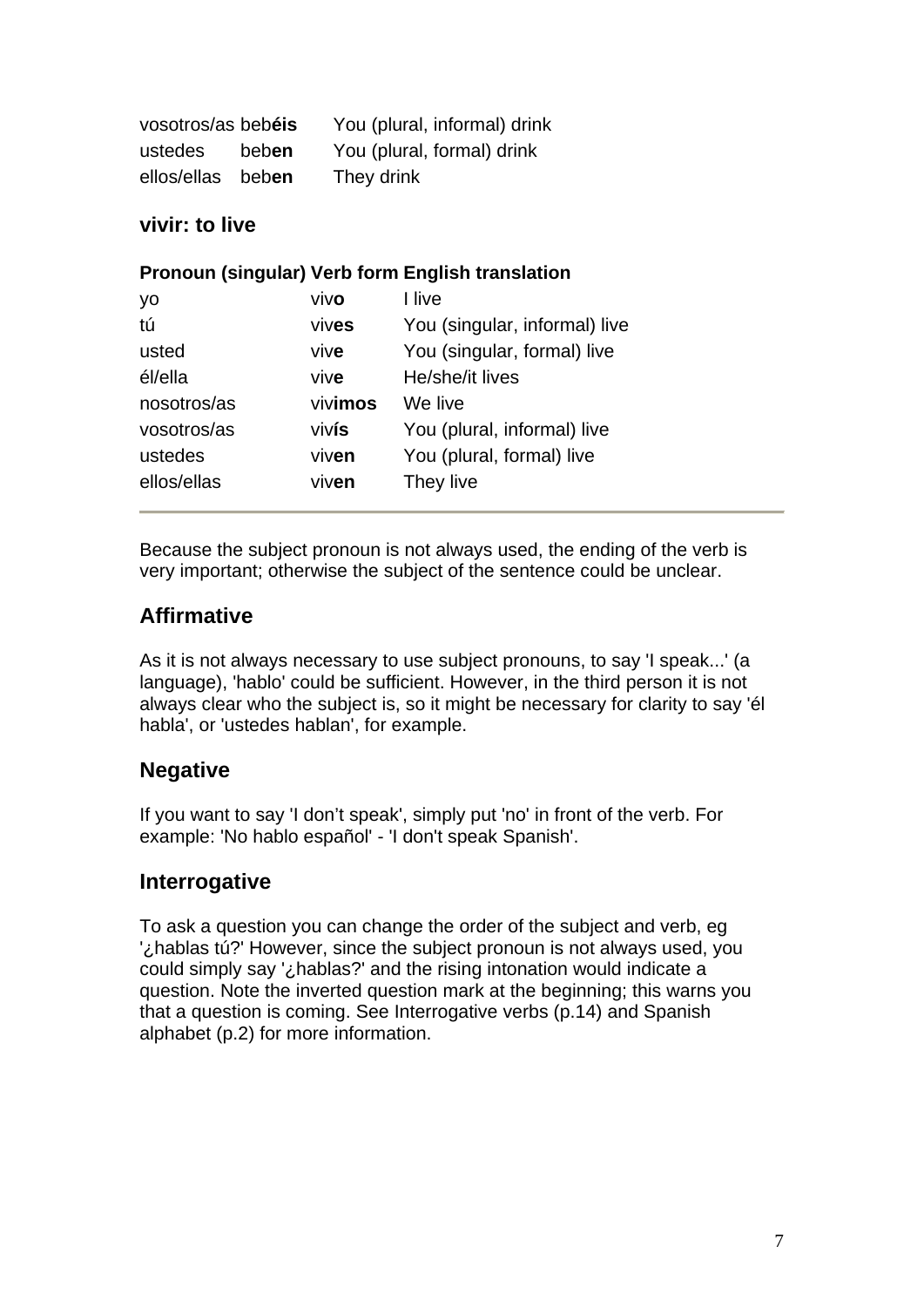| vosotros/as bebéis |       | You (plural, informal) drink |
|--------------------|-------|------------------------------|
| ustedes            | beben | You (plural, formal) drink   |
| ellos/ellas beben  |       | They drink                   |

### **vivir: to live**

|             |         | Pronoun (singular) Verb form English translation |
|-------------|---------|--------------------------------------------------|
| yo          | vivo    | I live                                           |
| tú          | vives   | You (singular, informal) live                    |
| usted       | vive    | You (singular, formal) live                      |
| él/ella     | vive    | He/she/it lives                                  |
| nosotros/as | vivimos | We live                                          |
| vosotros/as | vivís   | You (plural, informal) live                      |
| ustedes     | viven   | You (plural, formal) live                        |
| ellos/ellas | viven   | They live                                        |

Because the subject pronoun is not always used, the ending of the verb is very important; otherwise the subject of the sentence could be unclear.

## **Affirmative**

As it is not always necessary to use subject pronouns, to say 'I speak...' (a language), 'hablo' could be sufficient. However, in the third person it is not always clear who the subject is, so it might be necessary for clarity to say 'él habla', or 'ustedes hablan', for example.

## **Negative**

If you want to say 'I don't speak', simply put 'no' in front of the verb. For example: 'No hablo español' - 'I don't speak Spanish'.

## **Interrogative**

To ask a question you can change the order of the subject and verb, eg '¿hablas tú?' However, since the subject pronoun is not always used, you could simply say '¿hablas?' and the rising intonation would indicate a question. Note the inverted question mark at the beginning; this warns you that a question is coming. See Interrogative verbs (p.14) and Spanish alphabet (p.2) for more information.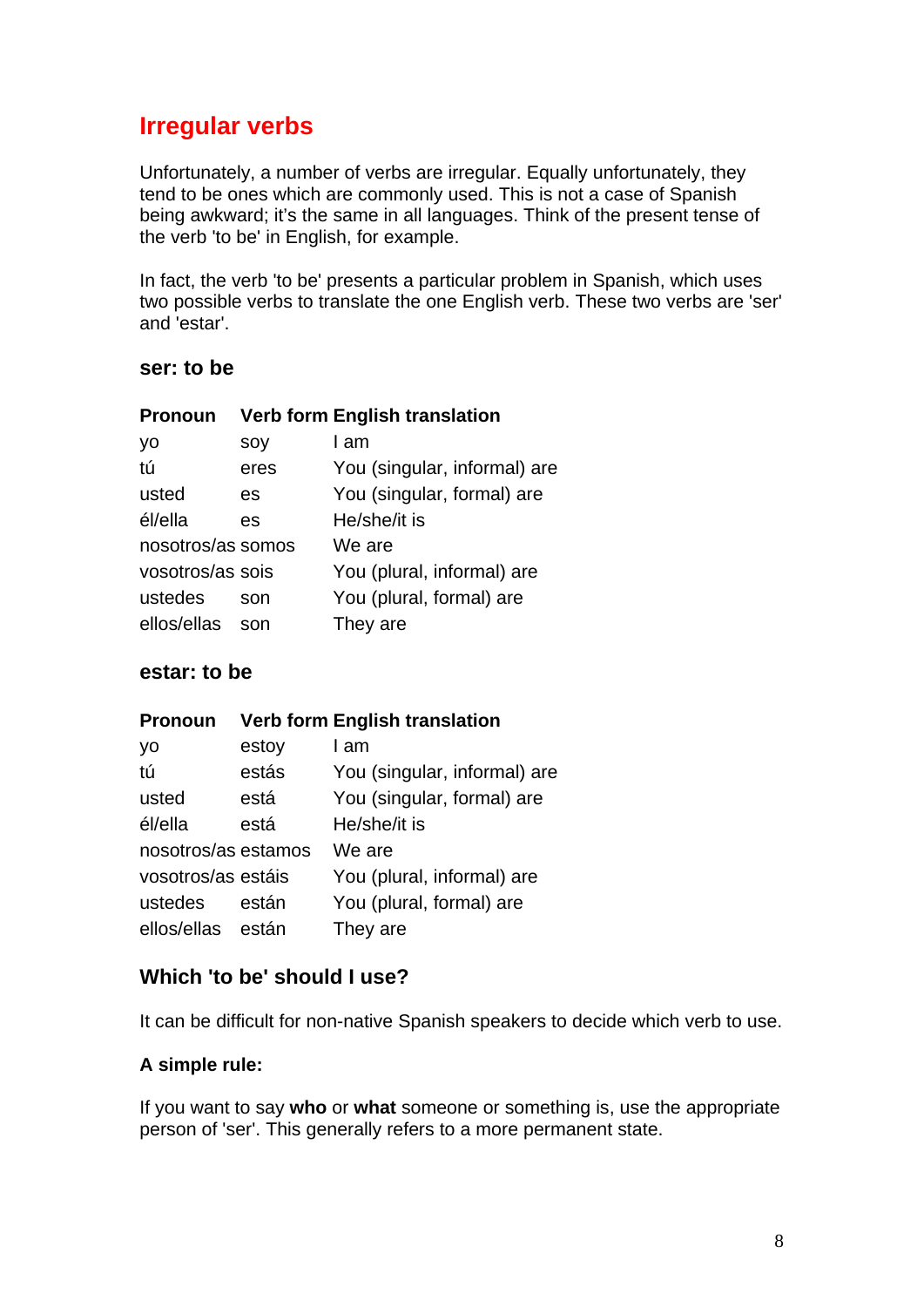## **Irregular verbs**

Unfortunately, a number of verbs are irregular. Equally unfortunately, they tend to be ones which are commonly used. This is not a case of Spanish being awkward; it's the same in all languages. Think of the present tense of the verb 'to be' in English, for example.

In fact, the verb 'to be' presents a particular problem in Spanish, which uses two possible verbs to translate the one English verb. These two verbs are 'ser' and 'estar'.

#### **ser: to be**

| <b>Pronoun</b>    |      | <b>Verb form English translation</b> |
|-------------------|------|--------------------------------------|
| yo                | soy  | I am                                 |
| tú                | eres | You (singular, informal) are         |
| usted             | es   | You (singular, formal) are           |
| él/ella           | es   | He/she/it is                         |
| nosotros/as somos |      | We are                               |
| vosotros/as sois  |      | You (plural, informal) are           |
| ustedes           | son  | You (plural, formal) are             |
| ellos/ellas       | son  | They are                             |
|                   |      |                                      |

#### **estar: to be**

| <b>Verb form English translation</b> |
|--------------------------------------|
|                                      |

| yo                  | estoy | I am                         |
|---------------------|-------|------------------------------|
| tú                  | estás | You (singular, informal) are |
| usted               | está  | You (singular, formal) are   |
| él/ella             | está  | He/she/it is                 |
| nosotros/as estamos |       | We are                       |
| vosotros/as estáis  |       | You (plural, informal) are   |
| ustedes             | están | You (plural, formal) are     |
| ellos/ellas están   |       | They are                     |

### **Which 'to be' should I use?**

It can be difficult for non-native Spanish speakers to decide which verb to use.

#### **A simple rule:**

If you want to say **who** or **what** someone or something is, use the appropriate person of 'ser'. This generally refers to a more permanent state.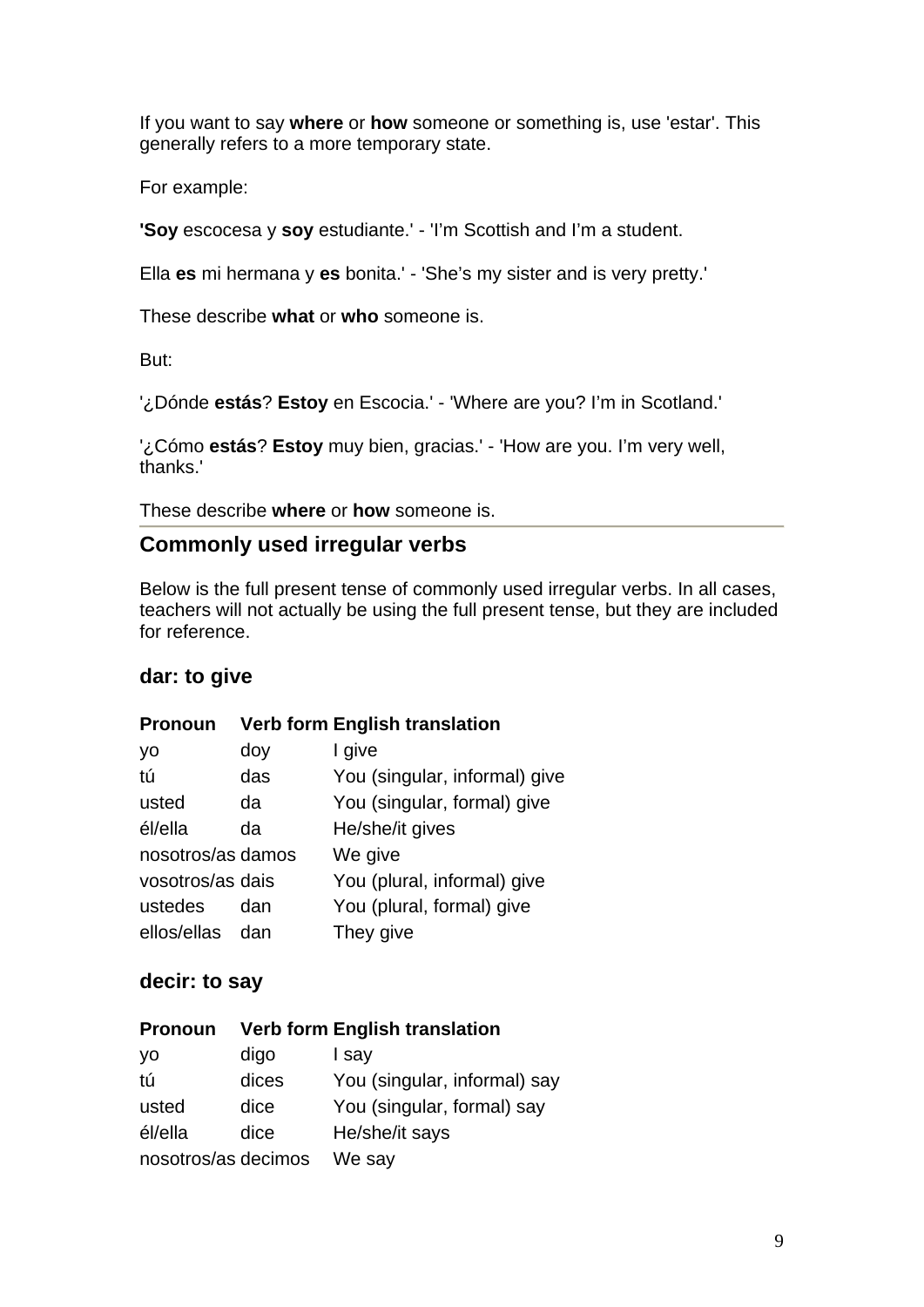If you want to say **where** or **how** someone or something is, use 'estar'. This generally refers to a more temporary state.

For example:

**'Soy** escocesa y **soy** estudiante.' - 'I'm Scottish and I'm a student.

Ella **es** mi hermana y **es** bonita.' - 'She's my sister and is very pretty.'

These describe **what** or **who** someone is.

But:

'¿Dónde **estás**? **Estoy** en Escocia.' - 'Where are you? I'm in Scotland.'

'¿Cómo **estás**? **Estoy** muy bien, gracias.' - 'How are you. I'm very well, thanks.'

These describe **where** or **how** someone is.

#### **Commonly used irregular verbs**

Below is the full present tense of commonly used irregular verbs. In all cases, teachers will not actually be using the full present tense, but they are included for reference.

#### **dar: to give**

#### **Pronoun Verb form English translation**

| yo                | doy | I give                        |
|-------------------|-----|-------------------------------|
| tú                | das | You (singular, informal) give |
| usted             | da  | You (singular, formal) give   |
| él/ella           | da  | He/she/it gives               |
| nosotros/as damos |     | We give                       |
| vosotros/as dais  |     | You (plural, informal) give   |
| ustedes           | dan | You (plural, formal) give     |
| ellos/ellas       | dan | They give                     |

#### **decir: to say**

| <b>Pronoun</b>      |       | <b>Verb form English translation</b> |
|---------------------|-------|--------------------------------------|
| yo                  | digo  | I say                                |
| tú                  | dices | You (singular, informal) say         |
| usted               | dice  | You (singular, formal) say           |
| él/ella             | dice  | He/she/it says                       |
| nosotros/as decimos |       | We say                               |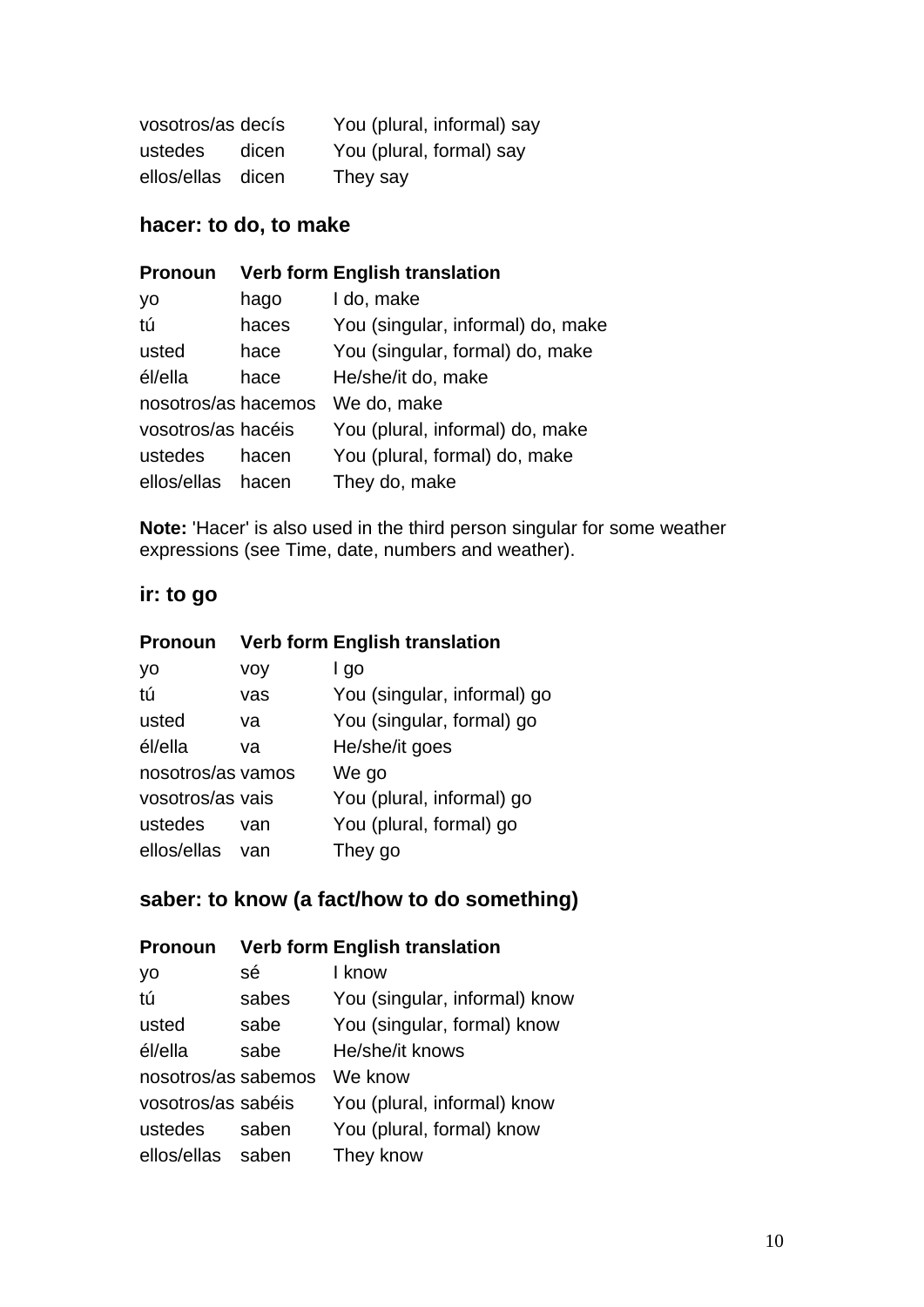| vosotros/as decís |       | You (plural, informal) say |
|-------------------|-------|----------------------------|
| ustedes           | dicen | You (plural, formal) say   |
| ellos/ellas dicen |       | They say                   |

## **hacer: to do, to make**

| <b>Pronoun</b>      |       | <b>Verb form English translation</b> |
|---------------------|-------|--------------------------------------|
| yo                  | hago  | I do, make                           |
| tú                  | haces | You (singular, informal) do, make    |
| usted               | hace  | You (singular, formal) do, make      |
| él/ella             | hace  | He/she/it do, make                   |
| nosotros/as hacemos |       | We do, make                          |
| vosotros/as hacéis  |       | You (plural, informal) do, make      |
| ustedes             | hacen | You (plural, formal) do, make        |
| ellos/ellas         | hacen | They do, make                        |

**Note:** 'Hacer' is also used in the third person singular for some weather expressions (see Time, date, numbers and weather).

## **ir: to go**

| <b>Pronoun</b>    |     | <b>Verb form English translation</b> |
|-------------------|-----|--------------------------------------|
| yo                | voy | l go                                 |
| tú                | vas | You (singular, informal) go          |
| usted             | va  | You (singular, formal) go            |
| él/ella           | va  | He/she/it goes                       |
| nosotros/as vamos |     | We go                                |
| vosotros/as vais  |     | You (plural, informal) go            |
| ustedes           | van | You (plural, formal) go              |
| ellos/ellas van   |     | They go                              |

## **saber: to know (a fact/how to do something)**

## **Pronoun Verb form English translation**

| sé                  | I know                        |
|---------------------|-------------------------------|
| sabes               | You (singular, informal) know |
| sabe                | You (singular, formal) know   |
| sabe                | He/she/it knows               |
| nosotros/as sabemos | We know                       |
| vosotros/as sabéis  | You (plural, informal) know   |
| saben               | You (plural, formal) know     |
| ellos/ellas saben   | They know                     |
|                     |                               |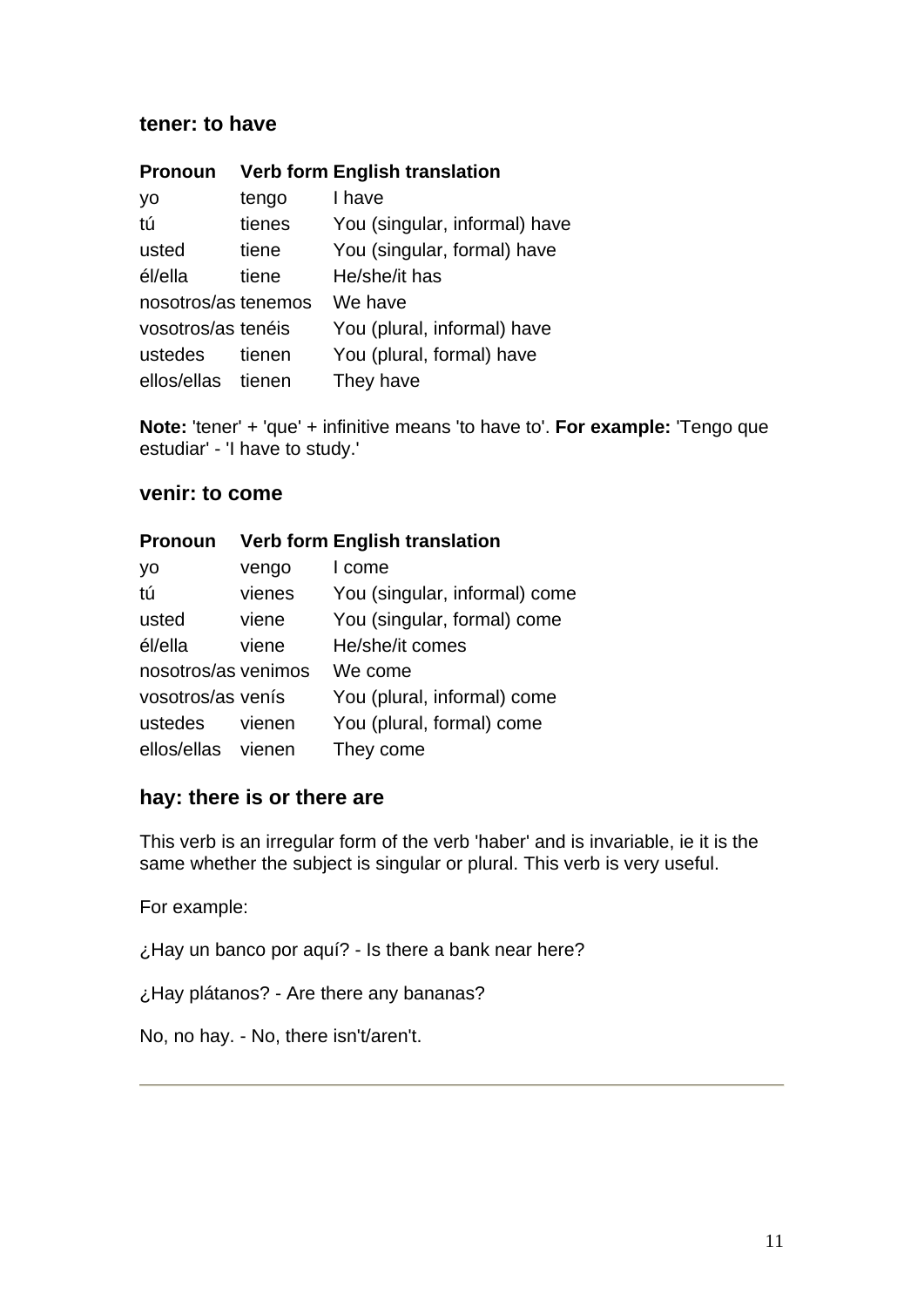#### **tener: to have**

| <b>Pronoun</b>      |        | <b>Verb form English translation</b> |
|---------------------|--------|--------------------------------------|
| yo                  | tengo  | I have                               |
| tú                  | tienes | You (singular, informal) have        |
| usted               | tiene  | You (singular, formal) have          |
| él/ella             | tiene  | He/she/it has                        |
| nosotros/as tenemos |        | We have                              |
| vosotros/as tenéis  |        | You (plural, informal) have          |
| ustedes             | tienen | You (plural, formal) have            |
| ellos/ellas tienen  |        | They have                            |

**Note:** 'tener' + 'que' + infinitive means 'to have to'. For example: 'Tengo que estudiar' - 'I have to study.'

#### **venir: to come**

| Pronoun             |        | <b>Verb form English translation</b> |
|---------------------|--------|--------------------------------------|
| yo                  | vengo  | I come                               |
| tú                  | vienes | You (singular, informal) come        |
| usted               | viene  | You (singular, formal) come          |
| él/ella             | viene  | He/she/it comes                      |
| nosotros/as venimos |        | We come                              |
| vosotros/as venís   |        | You (plural, informal) come          |
| ustedes             | vienen | You (plural, formal) come            |
| ellos/ellas vienen  |        | They come                            |

#### **hay: there is or there are**

This verb is an irregular form of the verb 'haber' and is invariable, ie it is the same whether the subject is singular or plural. This verb is very useful.

For example:

¿Hay un banco por aquí? - Is there a bank near here?

¿Hay plátanos? - Are there any bananas?

No, no hay. - No, there isn't/aren't.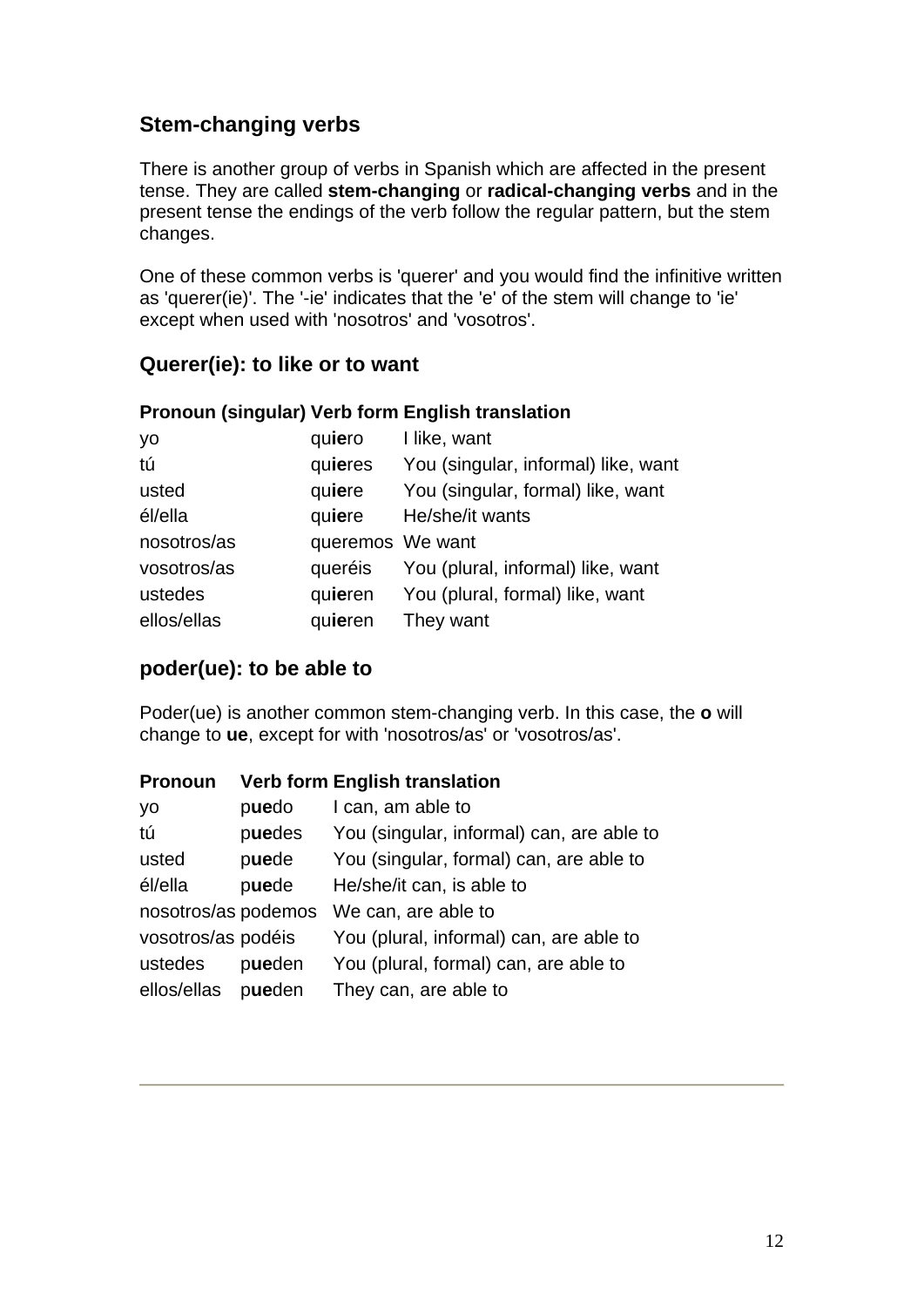## **Stem-changing verbs**

There is another group of verbs in Spanish which are affected in the present tense. They are called **stem-changing** or **radical-changing verbs** and in the present tense the endings of the verb follow the regular pattern, but the stem changes.

One of these common verbs is 'querer' and you would find the infinitive written as 'querer(ie)'. The '-ie' indicates that the 'e' of the stem will change to 'ie' except when used with 'nosotros' and 'vosotros'.

### **Querer(ie): to like or to want**

#### **Pronoun (singular) Verb form English translation**

| yo          | quiero           | I like, want                        |
|-------------|------------------|-------------------------------------|
| tú          | quieres          | You (singular, informal) like, want |
| usted       | quiere           | You (singular, formal) like, want   |
| él/ella     | quiere           | He/she/it wants                     |
| nosotros/as | queremos We want |                                     |
| vosotros/as | queréis          | You (plural, informal) like, want   |
| ustedes     | quieren          | You (plural, formal) like, want     |
| ellos/ellas | quieren          | They want                           |

## **poder(ue): to be able to**

Poder(ue) is another common stem-changing verb. In this case, the **o** will change to **ue**, except for with 'nosotros/as' or 'vosotros/as'.

#### **Pronoun Verb form English translation**

| yo                  | puedo  | I can, am able to                         |
|---------------------|--------|-------------------------------------------|
| tú                  | puedes | You (singular, informal) can, are able to |
| usted               | puede  | You (singular, formal) can, are able to   |
| él/ella             | puede  | He/she/it can, is able to                 |
| nosotros/as podemos |        | We can, are able to                       |
| vosotros/as podéis  |        | You (plural, informal) can, are able to   |
| ustedes             | pueden | You (plural, formal) can, are able to     |
| ellos/ellas         | pueden | They can, are able to                     |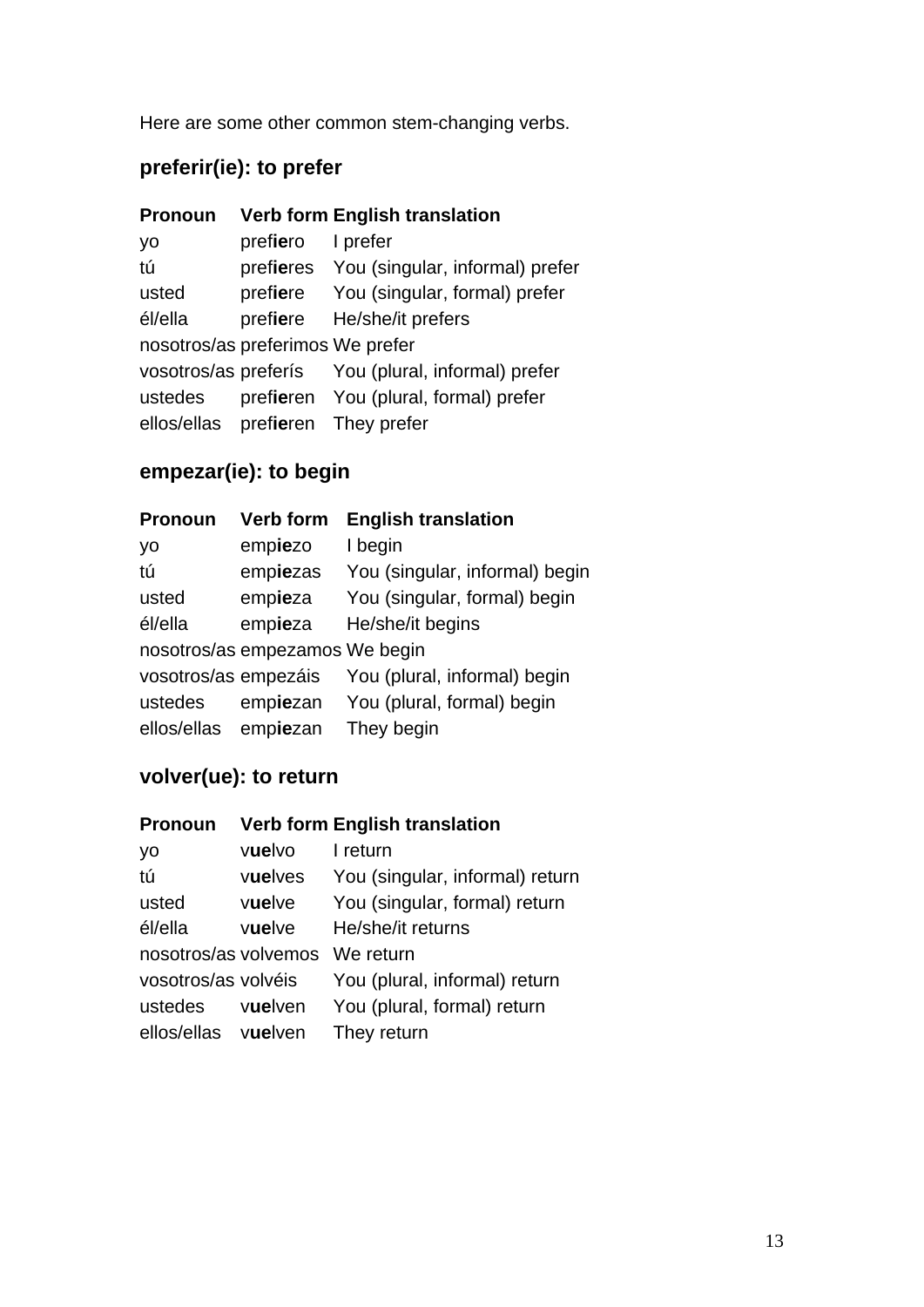Here are some other common stem-changing verbs.

## **preferir(ie): to prefer**

| <b>Pronoun</b>                   |                   | <b>Verb form English translation</b>               |
|----------------------------------|-------------------|----------------------------------------------------|
| yo                               | prefiero l prefer |                                                    |
| tú                               |                   | prefieres You (singular, informal) prefer          |
| usted                            |                   | prefiere You (singular, formal) prefer             |
| él/ella                          |                   | prefiere He/she/it prefers                         |
| nosotros/as preferimos We prefer |                   |                                                    |
|                                  |                   | vosotros/as preferís You (plural, informal) prefer |
| ustedes                          |                   | prefieren You (plural, formal) prefer              |
|                                  |                   | ellos/ellas prefieren They prefer                  |

## **empezar(ie): to begin**

| <b>Pronoun</b>       | <b>Verb form</b>               | <b>English translation</b>     |
|----------------------|--------------------------------|--------------------------------|
| yo                   | empiezo                        | I begin                        |
| tú                   | empiezas                       | You (singular, informal) begin |
| usted                | empieza                        | You (singular, formal) begin   |
| él/ella              | empieza                        | He/she/it begins               |
|                      | nosotros/as empezamos We begin |                                |
| vosotros/as empezáis |                                | You (plural, informal) begin   |
| ustedes              | empiezan                       | You (plural, formal) begin     |
| ellos/ellas          | empiezan                       | They begin                     |

## **volver(ue): to return**

| <b>Pronoun</b>       |         | <b>Verb form English translation</b> |
|----------------------|---------|--------------------------------------|
| yo                   | vuelvo  | I return                             |
| tú                   | vuelves | You (singular, informal) return      |
| usted                | vuelve  | You (singular, formal) return        |
| él/ella              | vuelve  | He/she/it returns                    |
| nosotros/as volvemos |         | We return                            |
| vosotros/as volvéis  |         | You (plural, informal) return        |
| ustedes              | vuelven | You (plural, formal) return          |
| ellos/ellas vuelven  |         | They return                          |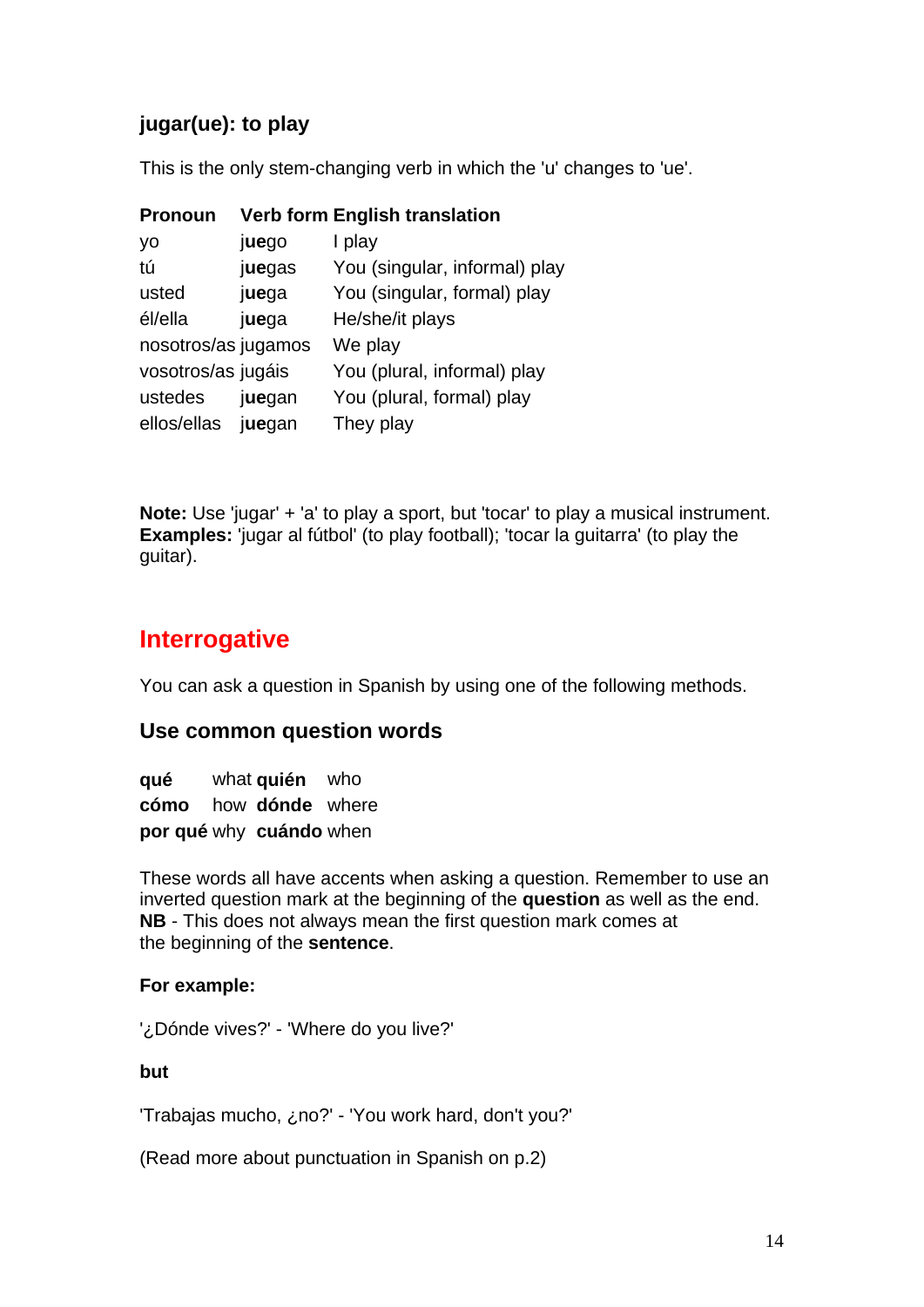## **jugar(ue): to play**

This is the only stem-changing verb in which the 'u' changes to 'ue'.

| <b>Pronoun</b>      |        | <b>Verb form English translation</b> |
|---------------------|--------|--------------------------------------|
| yo                  | juego  | I play                               |
| tú                  | juegas | You (singular, informal) play        |
| usted               | juega  | You (singular, formal) play          |
| él/ella             | juega  | He/she/it plays                      |
| nosotros/as jugamos |        | We play                              |
| vosotros/as jugáis  |        | You (plural, informal) play          |
| ustedes             | juegan | You (plural, formal) play            |
| ellos/ellas         | juegan | They play                            |

**Note:** Use 'jugar' + 'a' to play a sport, but 'tocar' to play a musical instrument. **Examples:** 'jugar al fútbol' (to play football); 'tocar la guitarra' (to play the guitar).

## **Interrogative**

You can ask a question in Spanish by using one of the following methods.

## **Use common question words**

**qué** what **quién** who **cómo** how **dónde** where **por qué** why **cuándo** when

These words all have accents when asking a question. Remember to use an inverted question mark at the beginning of the **question** as well as the end. **NB** - This does not always mean the first question mark comes at the beginning of the **sentence**.

#### **For example:**

'¿Dónde vives?' - 'Where do you live?'

**but**

'Trabajas mucho, ¿no?' - 'You work hard, don't you?'

(Read more about punctuation in Spanish on p.2)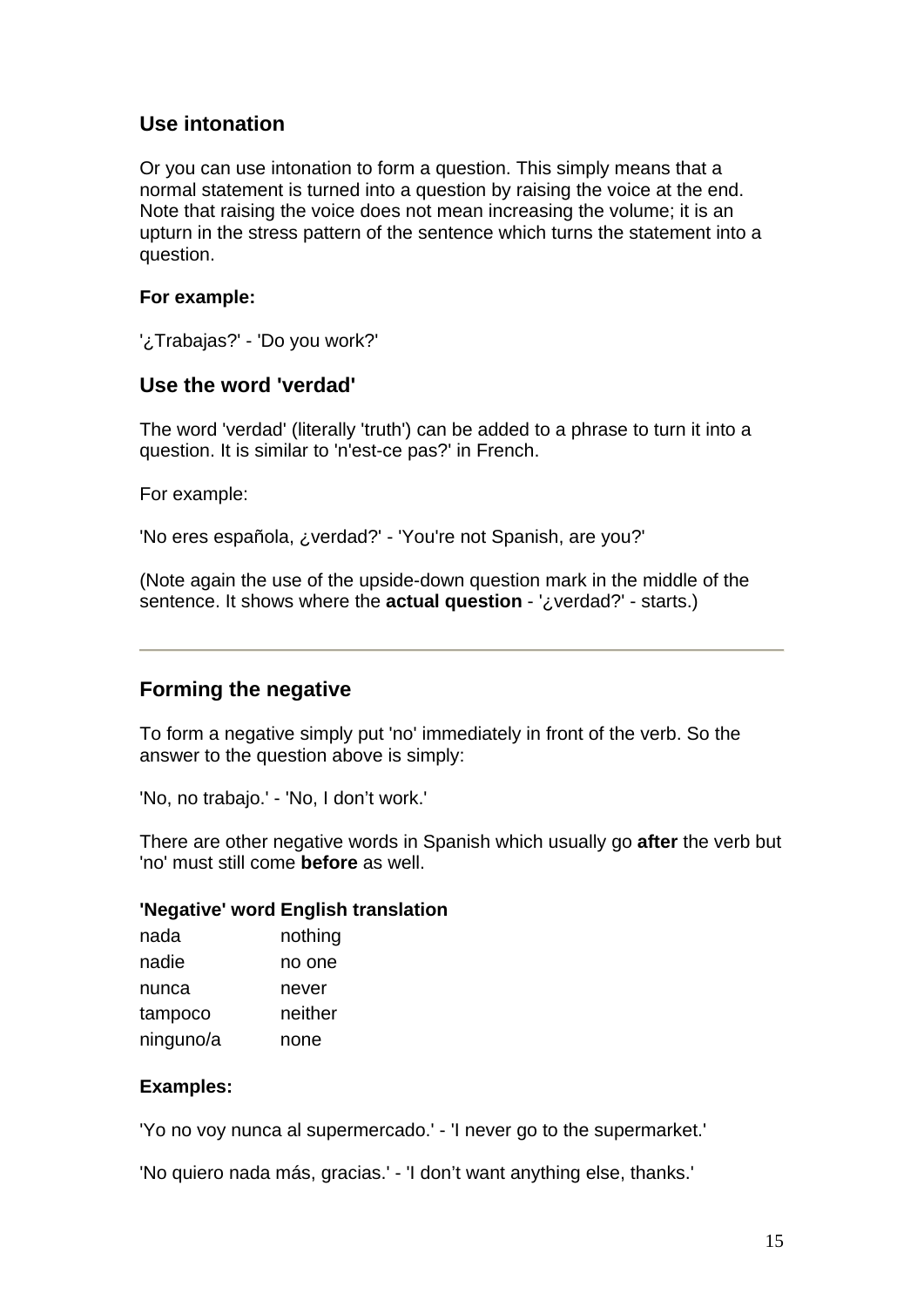### **Use intonation**

Or you can use intonation to form a question. This simply means that a normal statement is turned into a question by raising the voice at the end. Note that raising the voice does not mean increasing the volume; it is an upturn in the stress pattern of the sentence which turns the statement into a question.

#### **For example:**

'¿Trabajas?' - 'Do you work?'

#### **Use the word 'verdad'**

The word 'verdad' (literally 'truth') can be added to a phrase to turn it into a question. It is similar to 'n'est-ce pas?' in French.

For example:

'No eres española, ¿verdad?' - 'You're not Spanish, are you?'

(Note again the use of the upside-down question mark in the middle of the sentence. It shows where the **actual question** - '¿verdad?' - starts.)

#### **Forming the negative**

To form a negative simply put 'no' immediately in front of the verb. So the answer to the question above is simply:

'No, no trabajo.' - 'No, I don't work.'

There are other negative words in Spanish which usually go **after** the verb but 'no' must still come **before** as well.

#### **'Negative' word English translation**

| nada      | nothing |
|-----------|---------|
| nadie     | no one  |
| nunca     | never   |
| tampoco   | neither |
| ninguno/a | none    |

#### **Examples:**

'Yo no voy nunca al supermercado.' - 'I never go to the supermarket.'

'No quiero nada más, gracias.' - 'I don't want anything else, thanks.'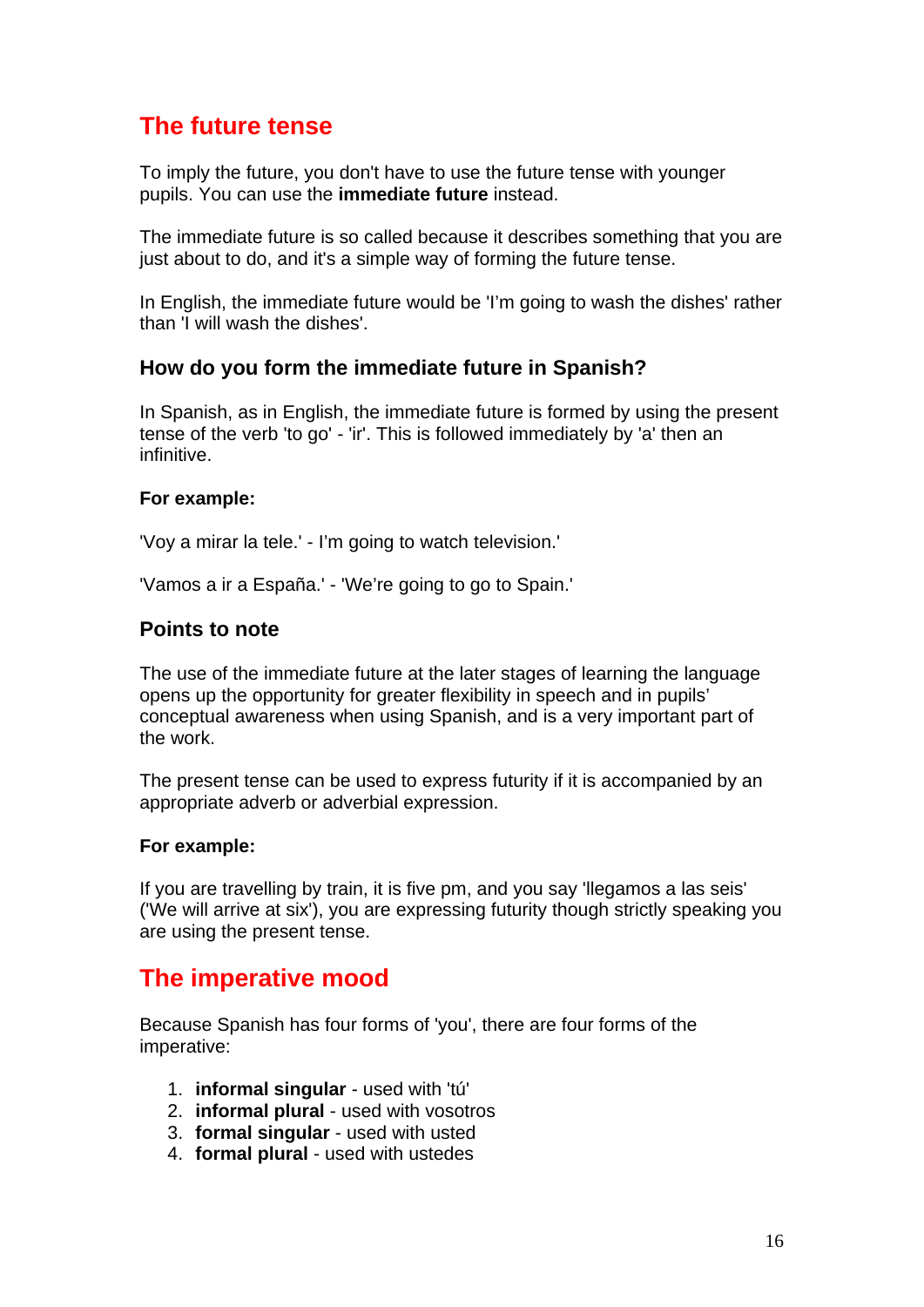## **The future tense**

To imply the future, you don't have to use the future tense with younger pupils. You can use the **immediate future** instead.

The immediate future is so called because it describes something that you are just about to do, and it's a simple way of forming the future tense.

In English, the immediate future would be 'I'm going to wash the dishes' rather than 'I will wash the dishes'.

### **How do you form the immediate future in Spanish?**

In Spanish, as in English, the immediate future is formed by using the present tense of the verb 'to go' *-* 'ir'. This is followed immediately by 'a' then an infinitive.

#### **For example:**

'Voy a mirar la tele.' - I'm going to watch television.'

'Vamos a ir a España.' - 'We're going to go to Spain.'

#### **Points to note**

The use of the immediate future at the later stages of learning the language opens up the opportunity for greater flexibility in speech and in pupils' conceptual awareness when using Spanish, and is a very important part of the work.

The present tense can be used to express futurity if it is accompanied by an appropriate adverb or adverbial expression.

#### **For example:**

If you are travelling by train, it is five pm, and you say 'llegamos a las seis' ('We will arrive at six'), you are expressing futurity though strictly speaking you are using the present tense.

## **The imperative mood**

Because Spanish has four forms of 'you', there are four forms of the imperative:

- 1. **informal singular** used with 'tú'
- 2. **informal plural** used with vosotros
- 3. **formal singular** used with usted
- 4. **formal plural** used with ustedes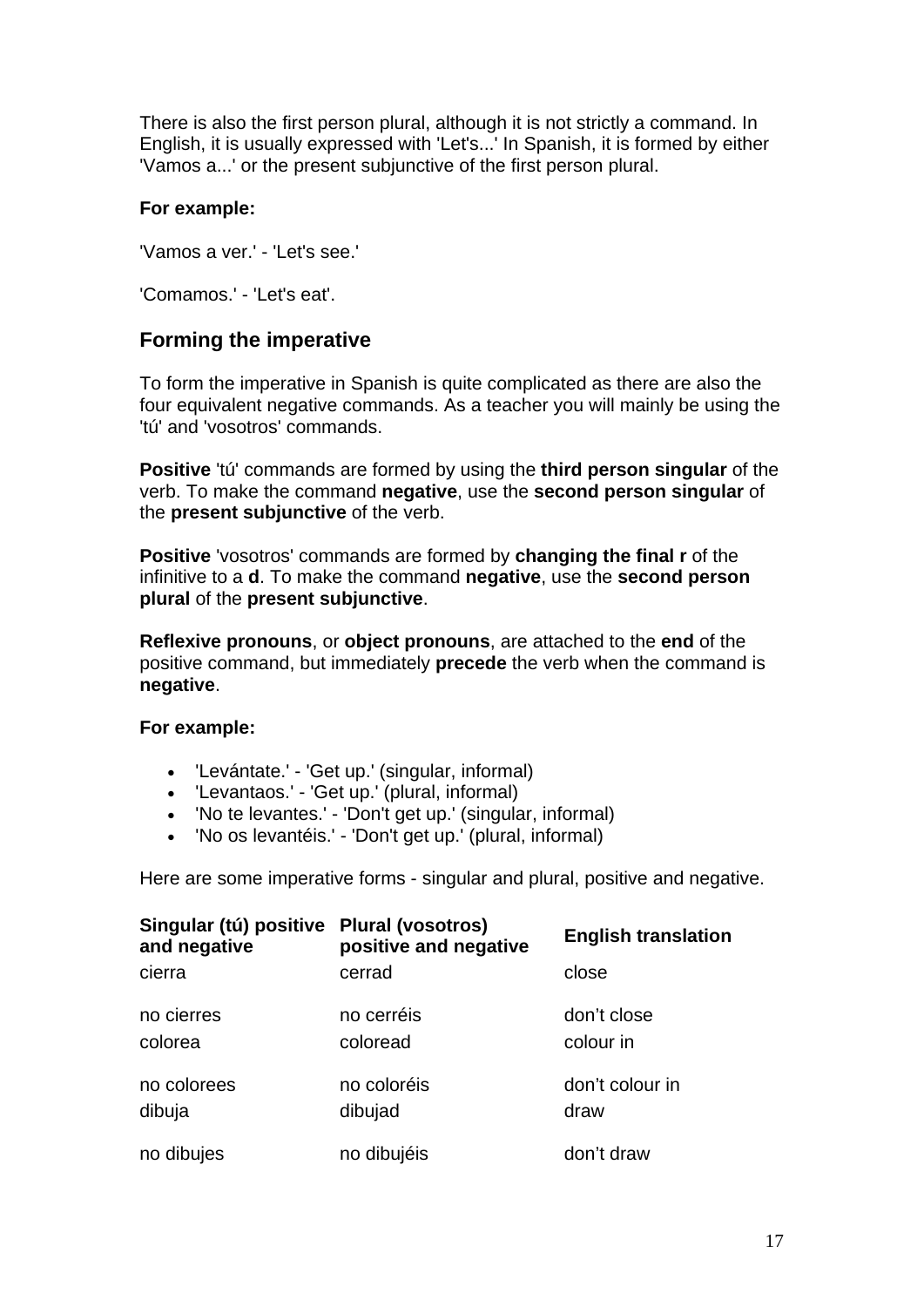There is also the first person plural, although it is not strictly a command. In English, it is usually expressed with 'Let's...' In Spanish, it is formed by either 'Vamos a...' or the present subjunctive of the first person plural.

#### **For example:**

'Vamos a ver.' - 'Let's see.'

'Comamos.' - 'Let's eat'.

### **Forming the imperative**

To form the imperative in Spanish is quite complicated as there are also the four equivalent negative commands. As a teacher you will mainly be using the 'tú' and 'vosotros' commands.

**Positive** 'tú' commands are formed by using the **third person singular** of the verb. To make the command **negative**, use the **second person singular** of the **present subjunctive** of the verb.

**Positive** 'vosotros' commands are formed by **changing the final r** of the infinitive to a **d**. To make the command **negative**, use the **second person plural** of the **present subjunctive**.

**Reflexive pronouns**, or **object pronouns**, are attached to the **end** of the positive command, but immediately **precede** the verb when the command is **negative**.

#### **For example:**

- 'Levántate.' 'Get up.' (singular, informal)
- 'Levantaos.' 'Get up.' (plural, informal)
- 'No te levantes.' 'Don't get up.' (singular, informal)
- 'No os levantéis.' 'Don't get up.' (plural, informal)

Here are some imperative forms - singular and plural, positive and negative.

| Singular (tú) positive Plural (vosotros)<br>and negative | positive and negative  | <b>English translation</b> |
|----------------------------------------------------------|------------------------|----------------------------|
| cierra                                                   | cerrad                 | close                      |
| no cierres<br>colorea                                    | no cerréis<br>coloread | don't close<br>colour in   |
| no colorees<br>dibuja                                    | no coloréis<br>dibujad | don't colour in<br>draw    |
| no dibujes                                               | no dibujéis            | don't draw                 |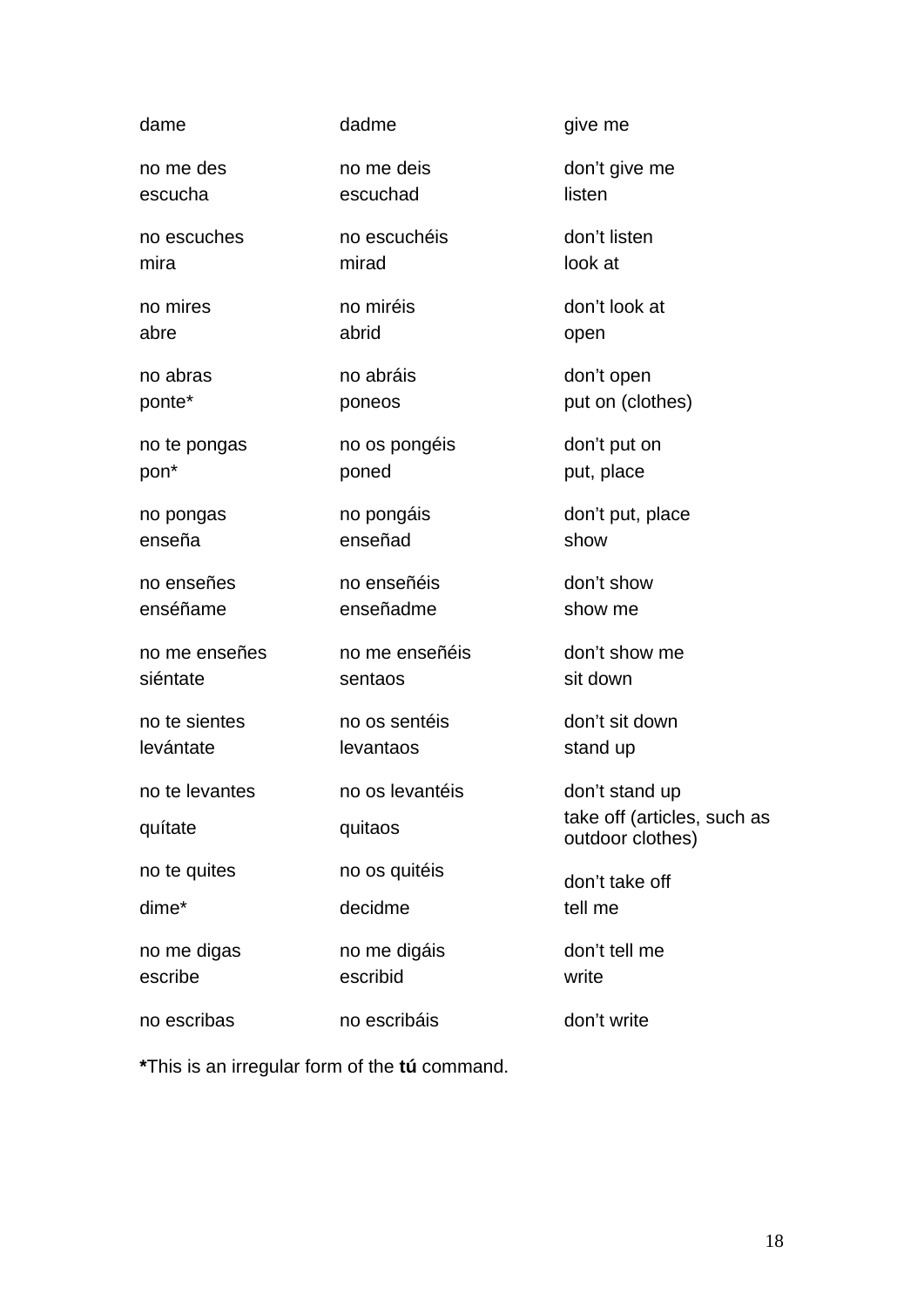| dame           | dadme           | give me                                         |
|----------------|-----------------|-------------------------------------------------|
| no me des      | no me deis      | don't give me                                   |
| escucha        | escuchad        | listen                                          |
| no escuches    | no escuchéis    | don't listen                                    |
| mira           | mirad           | look at                                         |
| no mires       | no miréis       | don't look at                                   |
| abre           | abrid           | open                                            |
| no abras       | no abráis       | don't open                                      |
| ponte*         | poneos          | put on (clothes)                                |
| no te pongas   | no os pongéis   | don't put on                                    |
| pon*           | poned           | put, place                                      |
| no pongas      | no pongáis      | don't put, place                                |
| enseña         | enseñad         | show                                            |
| no enseñes     | no enseñéis     | don't show                                      |
| enséñame       | enseñadme       | show me                                         |
| no me enseñes  | no me enseñéis  | don't show me                                   |
| siéntate       | sentaos         | sit down                                        |
|                |                 |                                                 |
| no te sientes  | no os sentéis   | don't sit down                                  |
| levántate      | levantaos       | stand up                                        |
| no te levantes | no os levantéis | don't stand up                                  |
| quítate        | quitaos         | take off (articles, such as<br>outdoor clothes) |
| no te quites   | no os quitéis   | don't take off                                  |
| dime*          | decidme         | tell me                                         |
| no me digas    | no me digáis    | don't tell me                                   |
| escribe        | escribid        | write                                           |

**\***This is an irregular form of the **tú** command.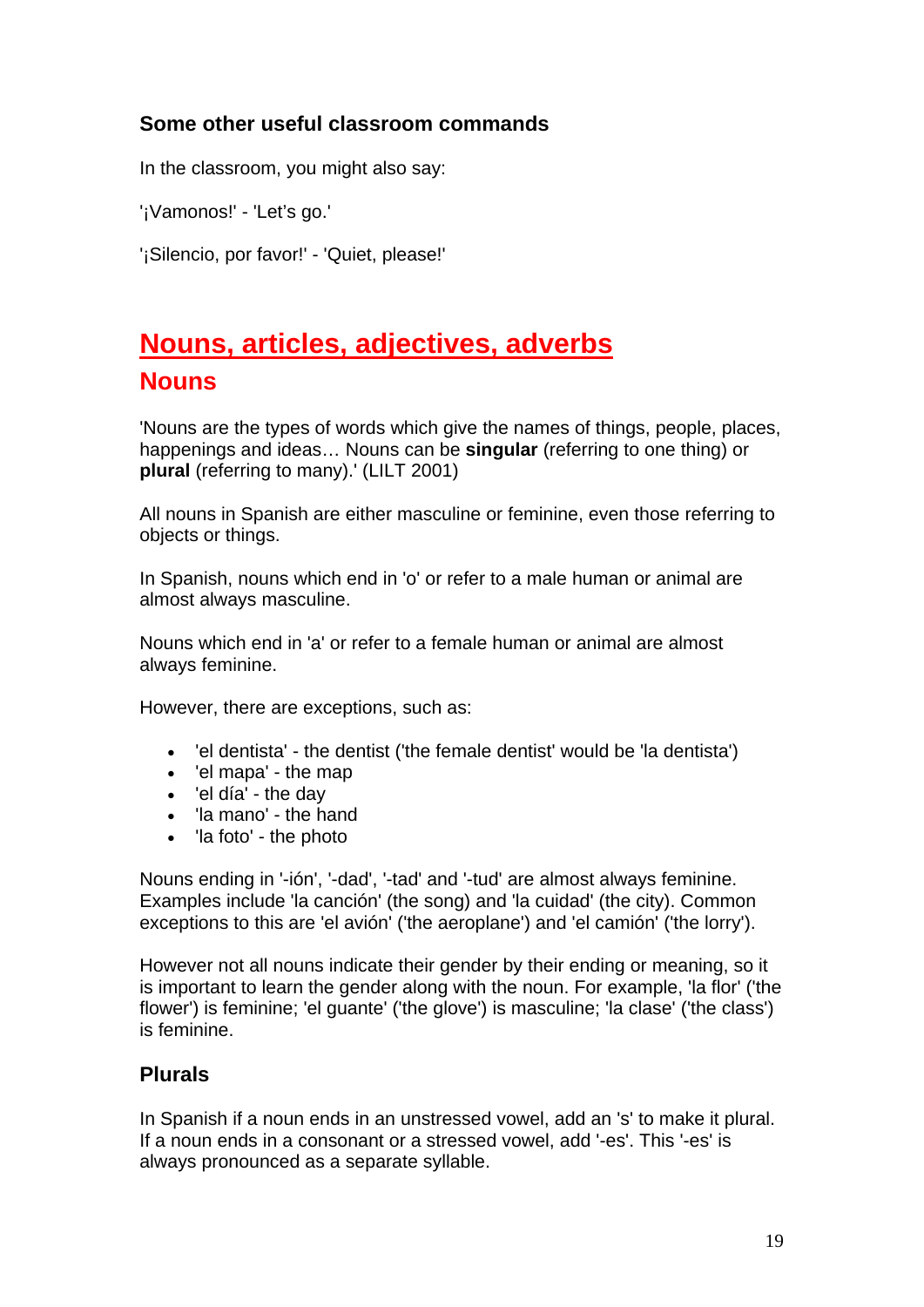## **Some other useful classroom commands**

In the classroom, you might also say:

'¡Vamonos!' - 'Let's go.'

'¡Silencio, por favor!' - 'Quiet, please!'

# **Nouns, articles, adjectives, adverbs Nouns**

'Nouns are the types of words which give the names of things, people, places, happenings and ideas… Nouns can be **singular** (referring to one thing) or **plural** (referring to many).' (LILT 2001)

All nouns in Spanish are either masculine or feminine, even those referring to objects or things.

In Spanish, nouns which end in 'o' or refer to a male human or animal are almost always masculine.

Nouns which end in 'a' or refer to a female human or animal are almost always feminine.

However, there are exceptions, such as:

- 'el dentista' the dentist ('the female dentist' would be 'la dentista')
- 'el mapa' the map
- 'el día' the day
- 'la mano' the hand
- 'la foto' the photo

Nouns ending in '-ión', '-dad', '-tad' and '-tud' are almost always feminine. Examples include 'la canción' (the song) and 'la cuidad' (the city). Common exceptions to this are 'el avión' ('the aeroplane') and 'el camión' ('the lorry').

However not all nouns indicate their gender by their ending or meaning, so it is important to learn the gender along with the noun. For example, 'la flor' ('the flower') is feminine; 'el guante' ('the glove') is masculine; 'la clase' ('the class') is feminine.

## **Plurals**

In Spanish if a noun ends in an unstressed vowel, add an 's' to make it plural. If a noun ends in a consonant or a stressed vowel, add '-es'. This '-es' is always pronounced as a separate syllable.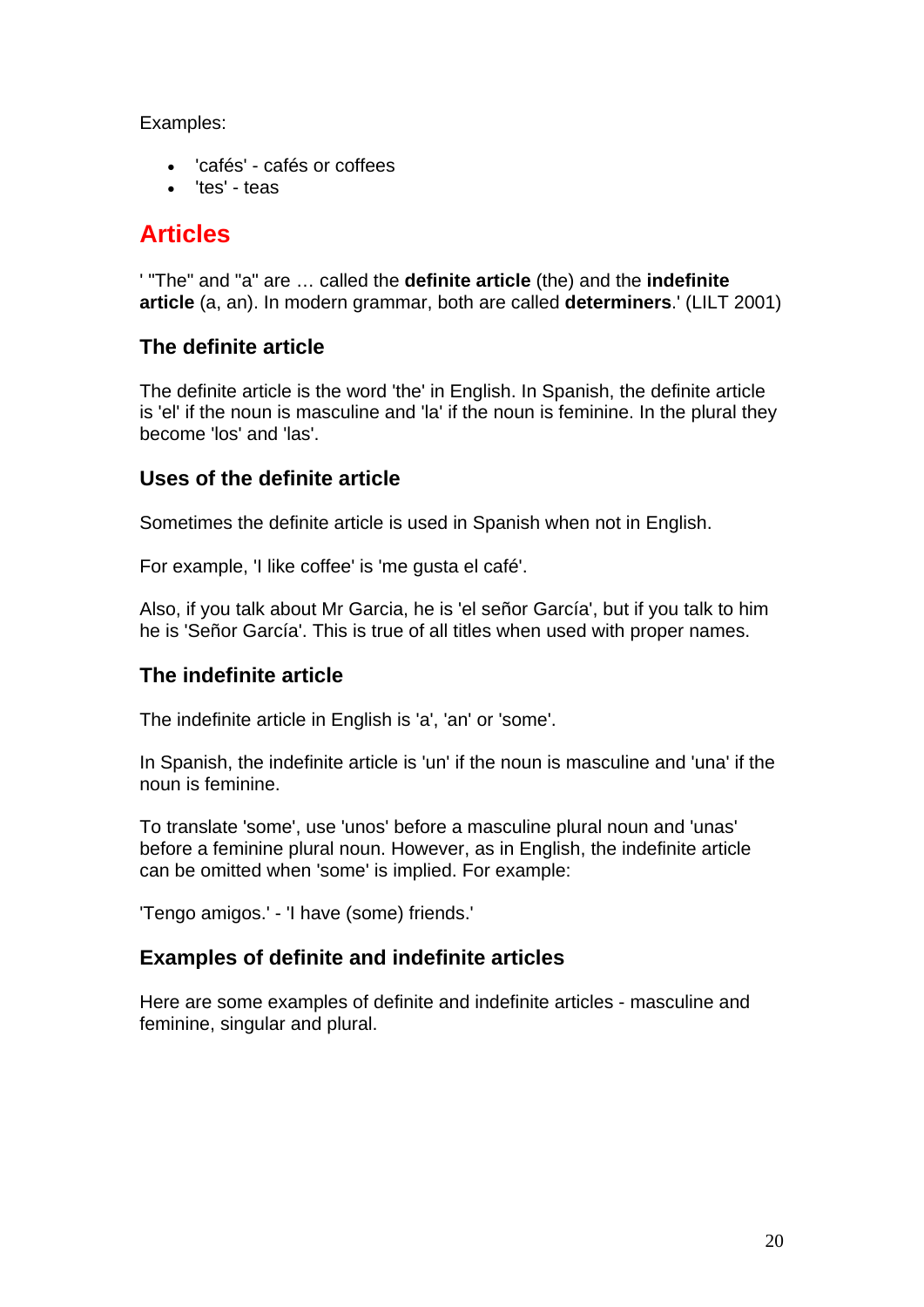Examples:

- 'cafés' cafés or coffees
- 'tes' teas

## **Articles**

' "The" and "a" are … called the **definite article** (the) and the **indefinite article** (a, an). In modern grammar, both are called **determiners**.' (LILT 2001)

## **The definite article**

The definite article is the word 'the' in English. In Spanish, the definite article is 'el' if the noun is masculine and 'la' if the noun is feminine. In the plural they become 'los' and 'las'.

## **Uses of the definite article**

Sometimes the definite article is used in Spanish when not in English.

For example, 'I like coffee' is 'me gusta el café'.

Also, if you talk about Mr Garcia, he is 'el señor García', but if you talk to him he is 'Señor García'. This is true of all titles when used with proper names.

## **The indefinite article**

The indefinite article in English is 'a', 'an' or 'some'.

In Spanish, the indefinite article is 'un' if the noun is masculine and 'una' if the noun is feminine.

To translate 'some', use 'unos' before a masculine plural noun and 'unas' before a feminine plural noun. However, as in English, the indefinite article can be omitted when 'some' is implied. For example:

'Tengo amigos.' - 'I have (some) friends.'

## **Examples of definite and indefinite articles**

Here are some examples of definite and indefinite articles - masculine and feminine, singular and plural.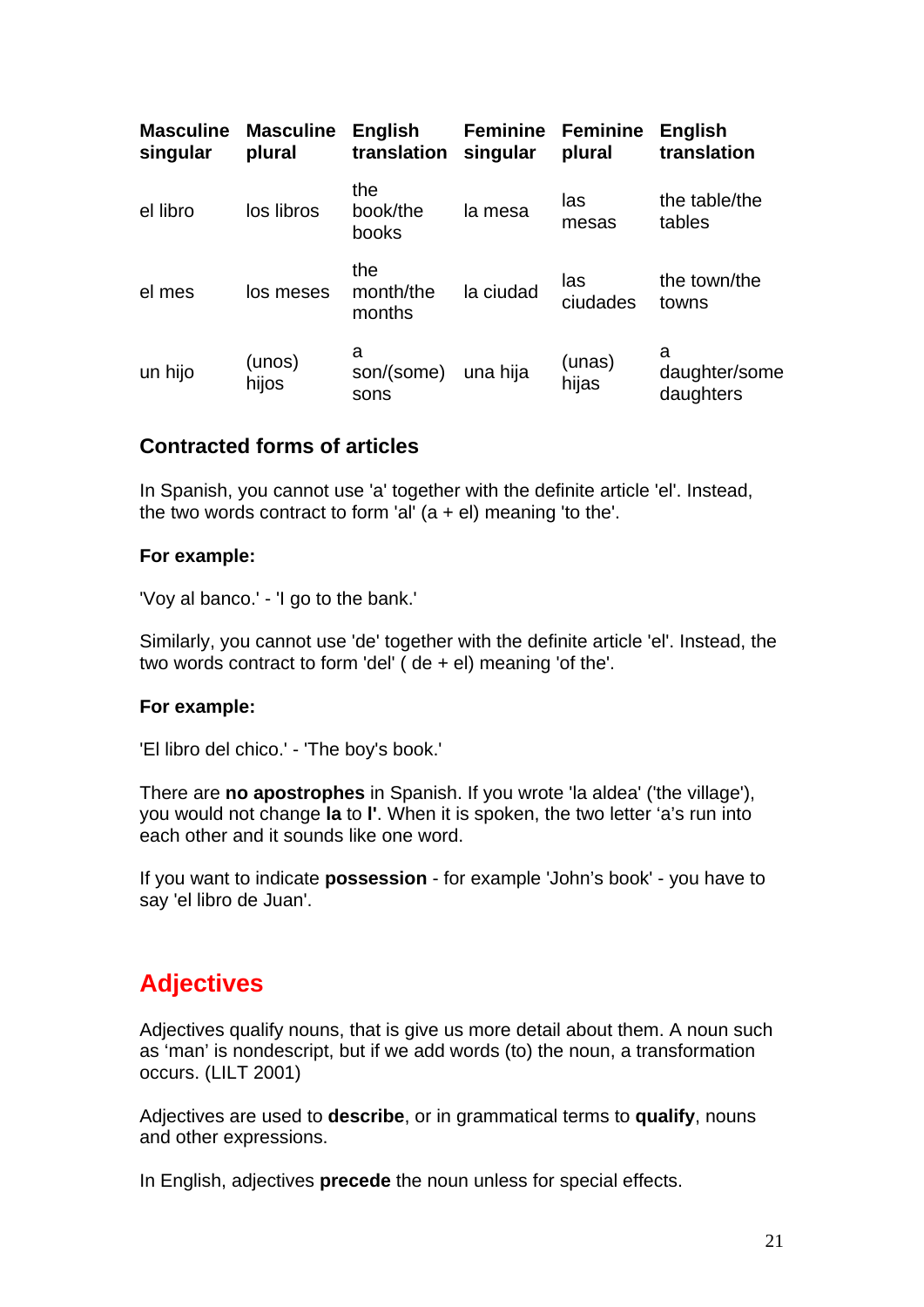| <b>Masculine</b><br>singular | <b>Masculine</b><br>plural | <b>English</b><br>translation | <b>Feminine</b><br>singular | <b>Feminine</b><br>plural | <b>English</b><br>translation   |
|------------------------------|----------------------------|-------------------------------|-----------------------------|---------------------------|---------------------------------|
| el libro                     | los libros                 | the<br>book/the<br>books      | la mesa                     | las<br>mesas              | the table/the<br>tables         |
| el mes                       | los meses                  | the<br>month/the<br>months    | la ciudad                   | las<br>ciudades           | the town/the<br>towns           |
| un hijo                      | (unos)<br>hijos            | a<br>son/(some)<br>sons       | una hija                    | (unas)<br>hijas           | a<br>daughter/some<br>daughters |

#### **Contracted forms of articles**

In Spanish, you cannot use 'a' together with the definite article 'el'. Instead, the two words contract to form 'al'  $(a + el)$  meaning 'to the'.

#### **For example:**

'Voy al banco.' - 'I go to the bank.'

Similarly, you cannot use 'de' together with the definite article 'el'. Instead, the two words contract to form 'del' ( de + el) meaning 'of the'.

#### **For example:**

'El libro del chico.' - 'The boy's book.'

There are **no apostrophes** in Spanish. If you wrote 'la aldea' ('the village'), you would not change **la** to **l'**. When it is spoken, the two letter 'a's run into each other and it sounds like one word.

If you want to indicate **possession** - for example 'John's book' - you have to say 'el libro de Juan'.

## **Adjectives**

Adjectives qualify nouns, that is give us more detail about them. A noun such as 'man' is nondescript, but if we add words (to) the noun, a transformation occurs. (LILT 2001)

Adjectives are used to **describe**, or in grammatical terms to **qualify**, nouns and other expressions.

In English, adjectives **precede** the noun unless for special effects.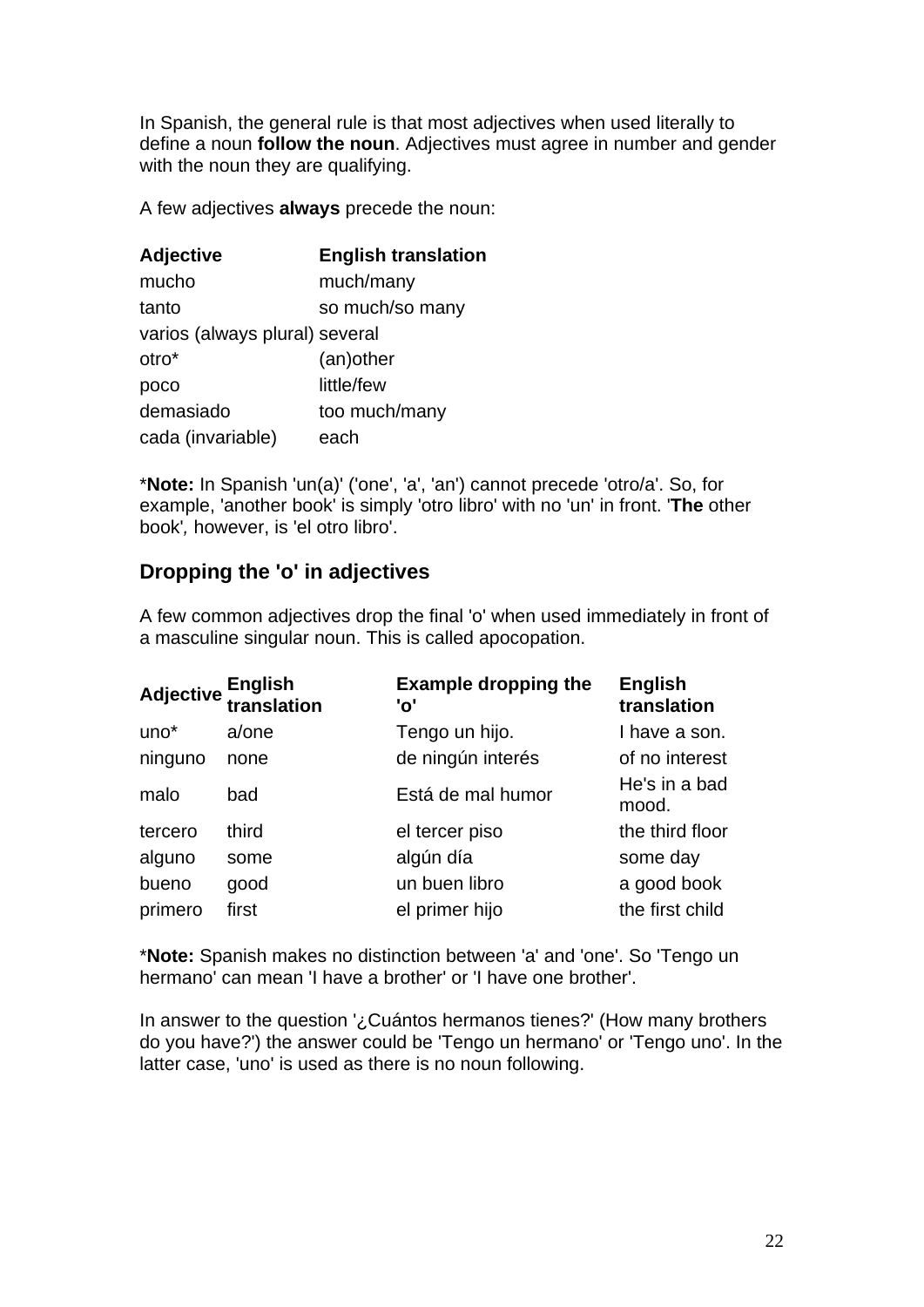In Spanish, the general rule is that most adjectives when used literally to define a noun **follow the noun**. Adjectives must agree in number and gender with the noun they are qualifying.

A few adjectives **always** precede the noun:

| <b>Adjective</b>               | <b>English translation</b> |
|--------------------------------|----------------------------|
| mucho                          | much/many                  |
| tanto                          | so much/so many            |
| varios (always plural) several |                            |
| otro*                          | (an) other                 |
| poco                           | little/few                 |
| demasiado                      | too much/many              |
| cada (invariable)              | each                       |

\***Note:** In Spanish 'un(a)' ('one', 'a', 'an') cannot precede 'otro/a'. So, for example, 'another book' is simply 'otro libro' with no 'un' in front. '**The** other book'*,* however, is 'el otro libro'.

## **Dropping the 'o' in adjectives**

A few common adjectives drop the final 'o' when used immediately in front of a masculine singular noun. This is called apocopation.

|                  | <b>Adjective English</b><br>translation | <b>Example dropping the</b><br>'o' | <b>English</b><br>translation |
|------------------|-----------------------------------------|------------------------------------|-------------------------------|
| uno <sup>*</sup> | a/one                                   | Tengo un hijo.                     | I have a son.                 |
| ninguno          | none                                    | de ningún interés                  | of no interest                |
| malo             | bad                                     | Está de mal humor                  | He's in a bad<br>mood.        |
| tercero          | third                                   | el tercer piso                     | the third floor               |
| alguno           | some                                    | algún día                          | some day                      |
| bueno            | good                                    | un buen libro                      | a good book                   |
| primero          | first                                   | el primer hijo                     | the first child               |

\***Note:** Spanish makes no distinction between 'a' and 'one'. So 'Tengo un hermano' can mean 'I have a brother' or 'I have one brother'.

In answer to the question '¿Cuántos hermanos tienes?' (How many brothers do you have?') the answer could be 'Tengo un hermano' or 'Tengo uno'. In the latter case, 'uno' is used as there is no noun following.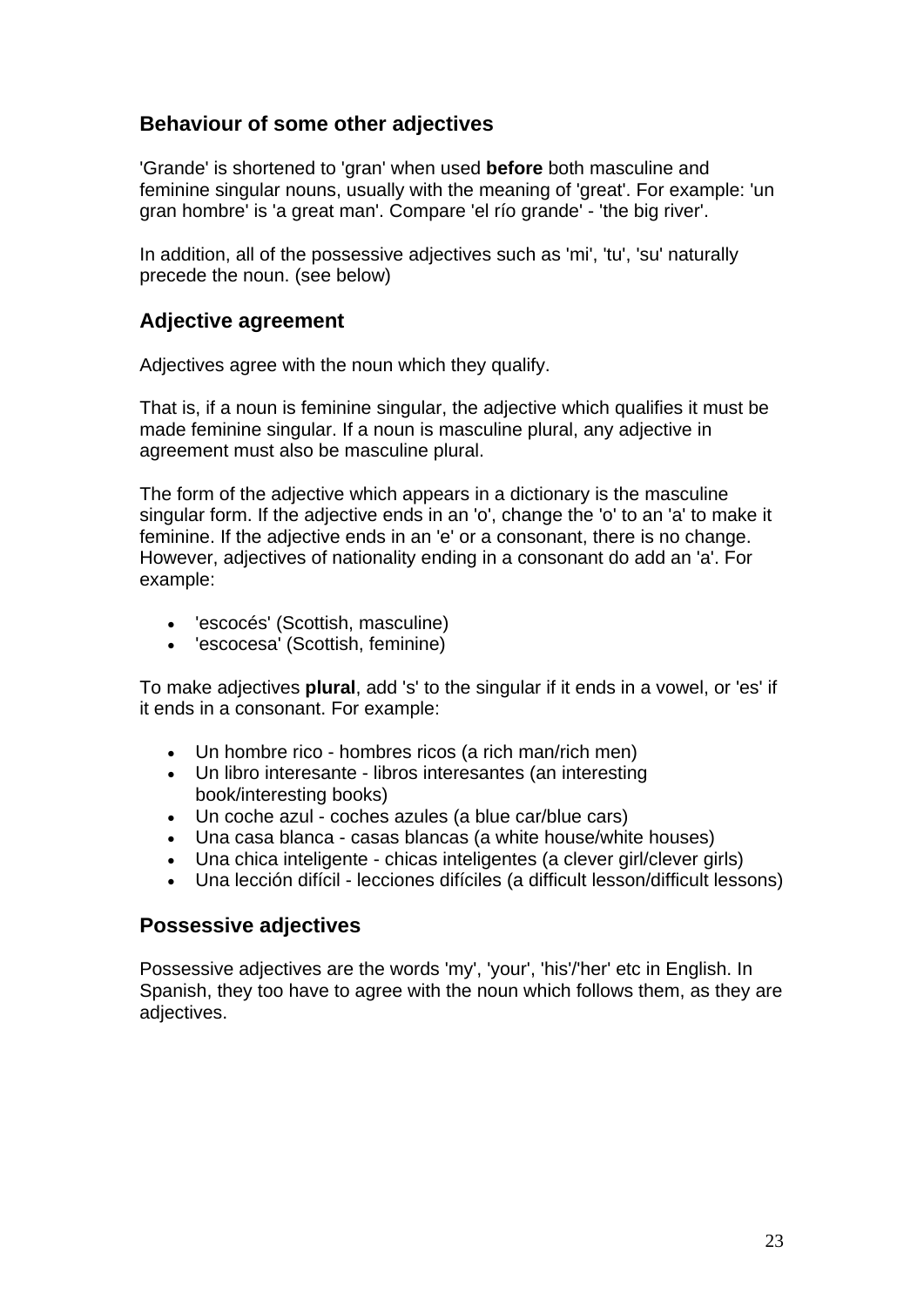## **Behaviour of some other adjectives**

'Grande' is shortened to 'gran' when used **before** both masculine and feminine singular nouns, usually with the meaning of 'great'. For example: 'un gran hombre' is 'a great man'. Compare 'el río grande' - 'the big river'.

In addition, all of the possessive adjectives such as 'mi', 'tu', 'su' naturally precede the noun. (see below)

#### **Adjective agreement**

Adjectives agree with the noun which they qualify.

That is, if a noun is feminine singular, the adjective which qualifies it must be made feminine singular. If a noun is masculine plural, any adjective in agreement must also be masculine plural.

The form of the adjective which appears in a dictionary is the masculine singular form. If the adjective ends in an 'o', change the 'o' to an 'a' to make it feminine. If the adjective ends in an 'e' or a consonant, there is no change. However, adjectives of nationality ending in a consonant do add an 'a'. For example:

- 'escocés' (Scottish, masculine)
- 'escocesa' (Scottish, feminine)

To make adjectives **plural**, add 's' to the singular if it ends in a vowel, or 'es' if it ends in a consonant. For example:

- Un hombre rico hombres ricos (a rich man/rich men)
- Un libro interesante libros interesantes (an interesting book/interesting books)
- Un coche azul coches azules (a blue car/blue cars)
- Una casa blanca casas blancas (a white house/white houses)
- Una chica inteligente chicas inteligentes (a clever girl/clever girls)
- Una lección difícil lecciones difíciles (a difficult lesson/difficult lessons)

#### **Possessive adjectives**

Possessive adjectives are the words 'my', 'your', 'his'/'her' etc in English. In Spanish, they too have to agree with the noun which follows them, as they are adjectives.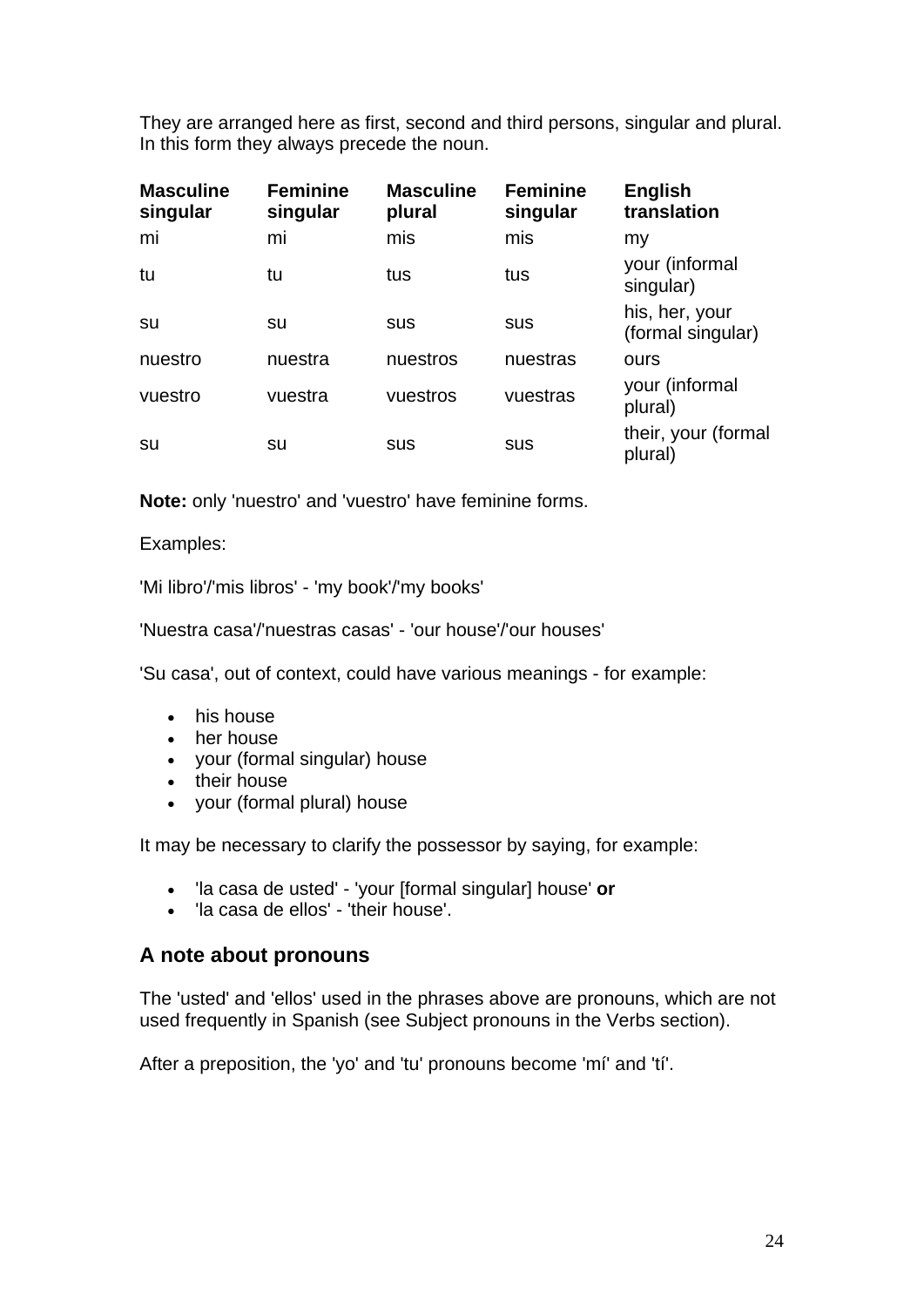They are arranged here as first, second and third persons, singular and plural. In this form they always precede the noun.

| <b>Masculine</b><br>singular | <b>Feminine</b><br>singular | <b>Masculine</b><br>plural | <b>Feminine</b><br>singular | <b>English</b><br>translation       |
|------------------------------|-----------------------------|----------------------------|-----------------------------|-------------------------------------|
| mi                           | mi                          | mis                        | mis                         | my                                  |
| tu                           | tu                          | tus                        | tus                         | your (informal<br>singular)         |
| su                           | su                          | sus                        | sus                         | his, her, your<br>(formal singular) |
| nuestro                      | nuestra                     | nuestros                   | nuestras                    | ours                                |
| vuestro                      | vuestra                     | vuestros                   | vuestras                    | your (informal<br>plural)           |
| su                           | su                          | sus                        | sus                         | their, your (formal<br>plural)      |

**Note:** only 'nuestro' and 'vuestro' have feminine forms.

Examples:

'Mi libro'/'mis libros' - 'my book'/'my books'

'Nuestra casa'/'nuestras casas' - 'our house'/'our houses'

'Su casa', out of context, could have various meanings - for example:

- his house
- her house
- your (formal singular) house
- their house
- your (formal plural) house

It may be necessary to clarify the possessor by saying, for example:

- 'la casa de usted' 'your [formal singular] house' **or**
- 'la casa de ellos' 'their house'.

#### **A note about pronouns**

The 'usted' and 'ellos' used in the phrases above are pronouns, which are not used frequently in Spanish (see Subject pronouns in the Verbs section).

After a preposition, the 'yo' and 'tu' pronouns become 'mí' and 'tí'.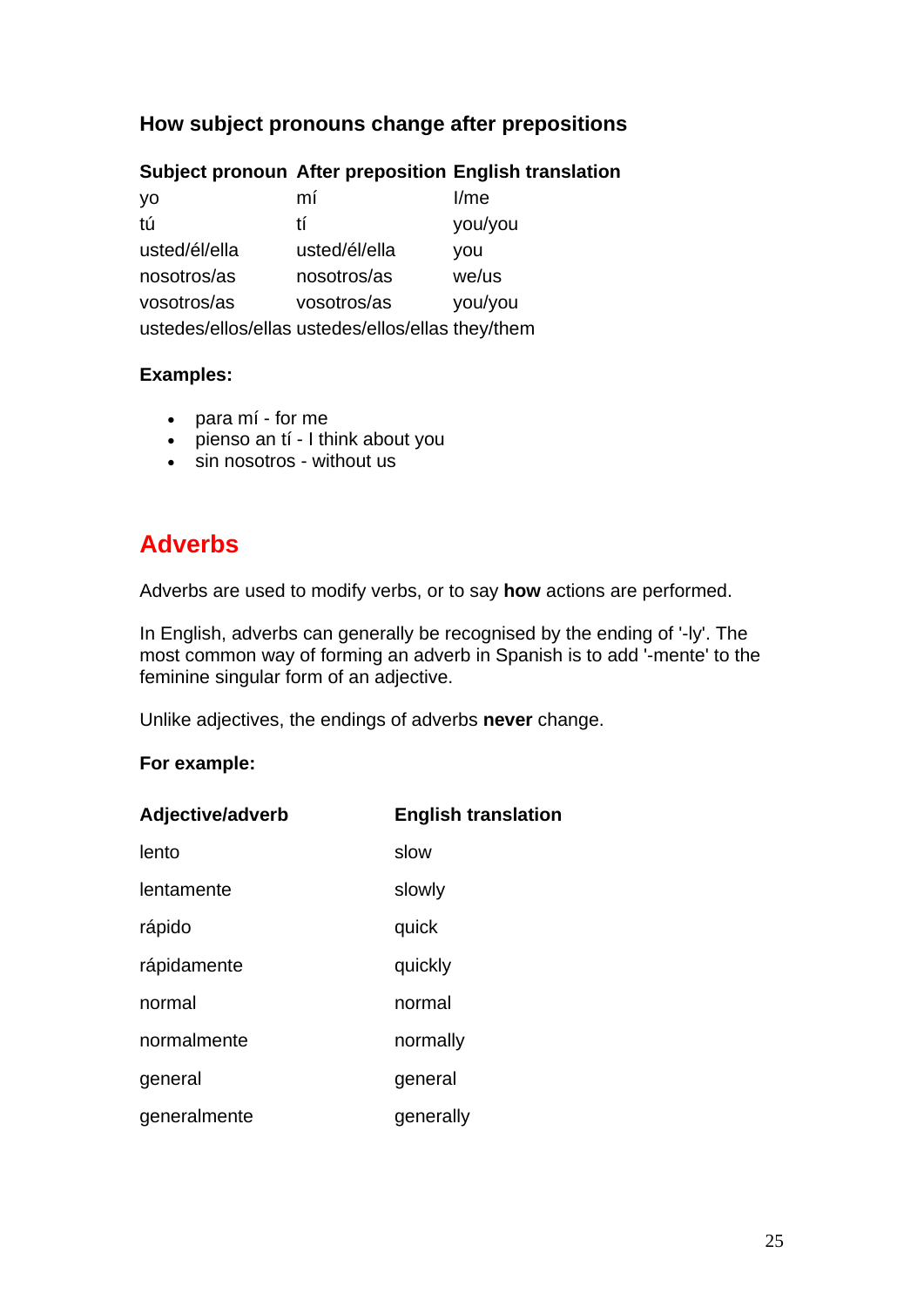## **How subject pronouns change after prepositions**

## **Subject pronoun After preposition English translation**

| yo            | mí                                                | I/m <sub>e</sub> |
|---------------|---------------------------------------------------|------------------|
| tú            | tí                                                | you/you          |
| usted/él/ella | usted/él/ella                                     | you              |
| nosotros/as   | nosotros/as                                       | we/us            |
| vosotros/as   | vosotros/as                                       | you/you          |
|               | ustedes/ellos/ellas ustedes/ellos/ellas they/them |                  |

#### **Examples:**

- para mí for me
- pienso an tí I think about you
- sin nosotros without us

## **Adverbs**

Adverbs are used to modify verbs, or to say **how** actions are performed.

In English, adverbs can generally be recognised by the ending of '-ly'. The most common way of forming an adverb in Spanish is to add '-mente' to the feminine singular form of an adjective.

Unlike adjectives, the endings of adverbs **never** change.

#### **For example:**

| Adjective/adverb | <b>English translation</b> |
|------------------|----------------------------|
| lento            | slow                       |
| lentamente       | slowly                     |
| rápido           | quick                      |
| rápidamente      | quickly                    |
| normal           | normal                     |
| normalmente      | normally                   |
| general          | general                    |
| generalmente     | generally                  |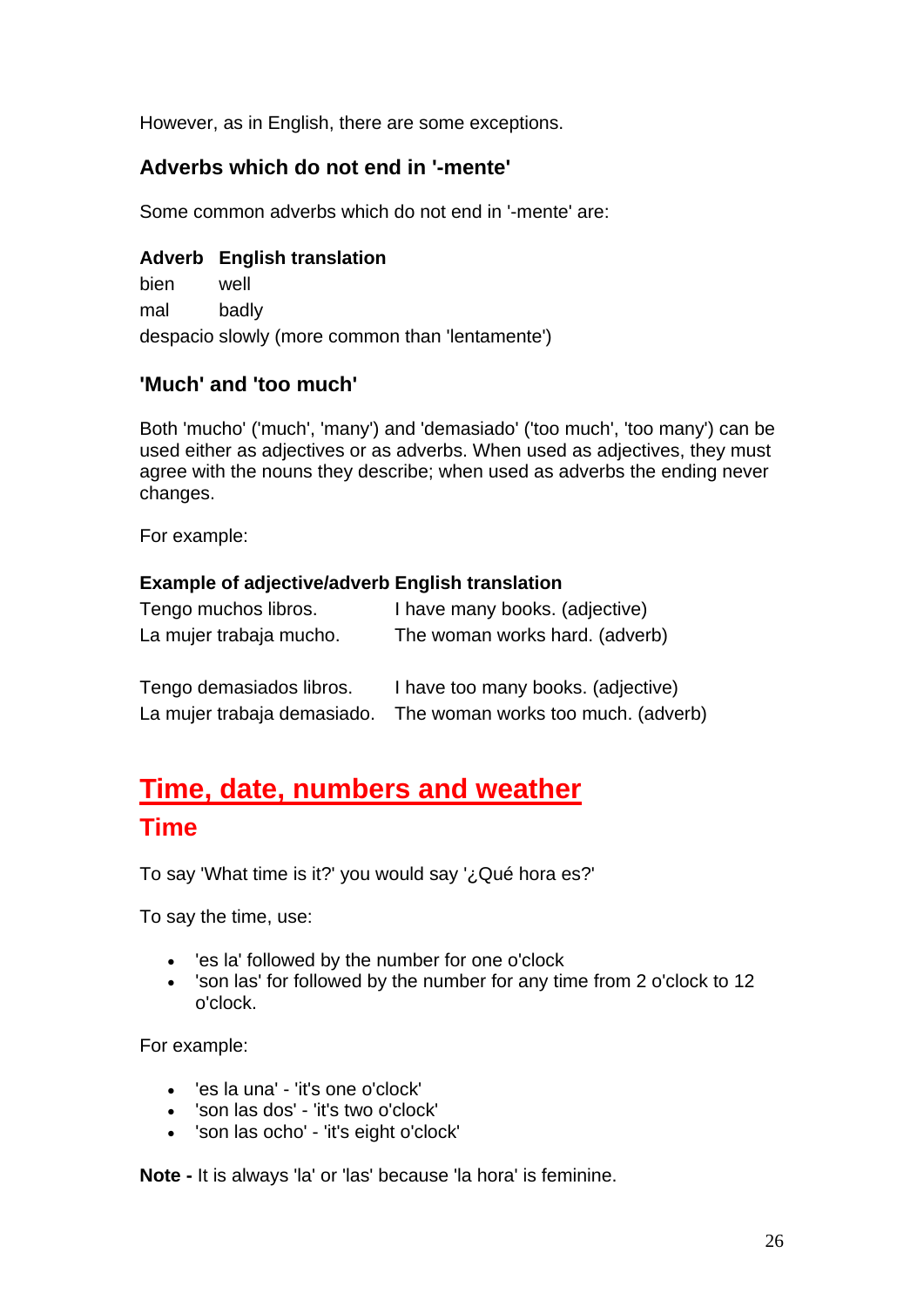However, as in English, there are some exceptions.

## **Adverbs which do not end in '-mente'**

Some common adverbs which do not end in '-mente' are:

#### **Adverb English translation**

bien well mal badly despacio slowly (more common than 'lentamente')

### **'Much' and 'too much'**

Both 'mucho' ('much', 'many') and 'demasiado' ('too much', 'too many') can be used either as adjectives or as adverbs. When used as adjectives, they must agree with the nouns they describe; when used as adverbs the ending never changes.

For example:

#### **Example of adjective/adverb English translation**

| Tengo muchos libros.        | I have many books. (adjective)     |
|-----------------------------|------------------------------------|
| La mujer trabaja mucho.     | The woman works hard. (adverb)     |
|                             |                                    |
| Tengo demasiados libros.    | I have too many books. (adjective) |
| La mujer trabaja demasiado. | The woman works too much. (adverb) |

# **Time, date, numbers and weather Time**

To say 'What time is it?' you would say '¿Qué hora es?'

To say the time, use:

- 'es la' followed by the number for one o'clock
- 'son las' for followed by the number for any time from 2 o'clock to 12 o'clock.

For example:

- 'es la una' 'it's one o'clock'
- 'son las dos' 'it's two o'clock'
- 'son las ocho' 'it's eight o'clock'

**Note -** It is always 'la' or 'las' because 'la hora' is feminine.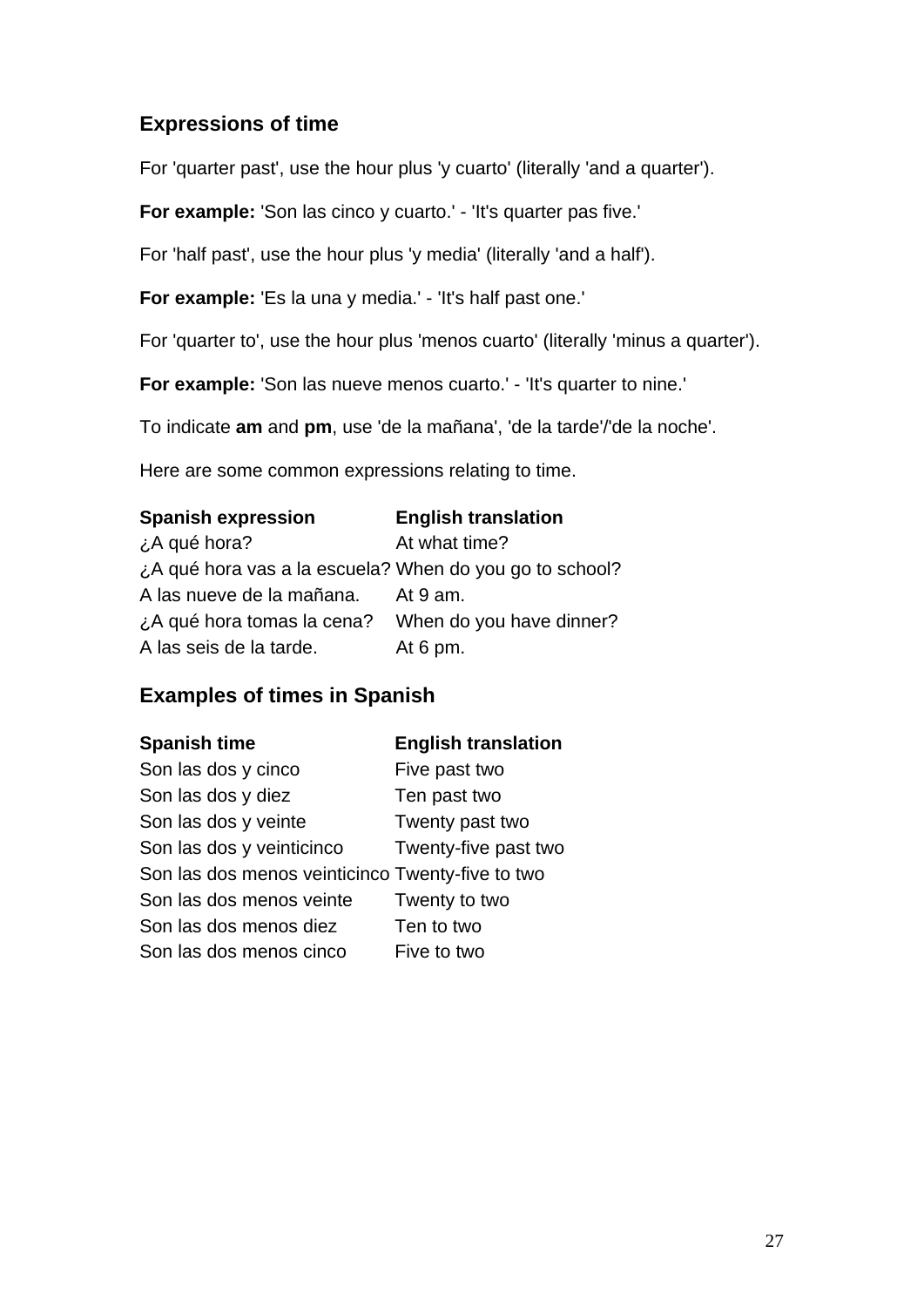## **Expressions of time**

For 'quarter past', use the hour plus 'y cuarto' (literally 'and a quarter').

**For example:** 'Son las cinco y cuarto.' - 'It's quarter pas five.'

For 'half past', use the hour plus 'y media' (literally 'and a half').

**For example:** 'Es la una y media.' - 'It's half past one.'

For 'quarter to', use the hour plus 'menos cuarto' (literally 'minus a quarter').

**For example:** 'Son las nueve menos cuarto.' - 'It's quarter to nine.'

To indicate **am** and **pm**, use 'de la mañana', 'de la tarde'/'de la noche'.

Here are some common expressions relating to time.

| <b>Spanish expression</b>                               | <b>English translation</b> |
|---------------------------------------------------------|----------------------------|
| ¿A qué hora?                                            | At what time?              |
| ¿A qué hora vas a la escuela? When do you go to school? |                            |
| A las nueve de la mañana.                               | At 9 am.                   |
| ¿A qué hora tomas la cena?                              | When do you have dinner?   |
| A las seis de la tarde.                                 | At $6 \text{ pm}$ .        |

## **Examples of times in Spanish**

| <b>Spanish time</b>                              | <b>English translation</b> |
|--------------------------------------------------|----------------------------|
| Son las dos y cinco                              | Five past two              |
| Son las dos y diez                               | Ten past two               |
| Son las dos y veinte                             | Twenty past two            |
| Son las dos y veinticinco                        | Twenty-five past two       |
| Son las dos menos veinticinco Twenty-five to two |                            |
| Son las dos menos veinte                         | Twenty to two              |
| Son las dos menos diez                           | Ten to two                 |
| Son las dos menos cinco                          | Five to two                |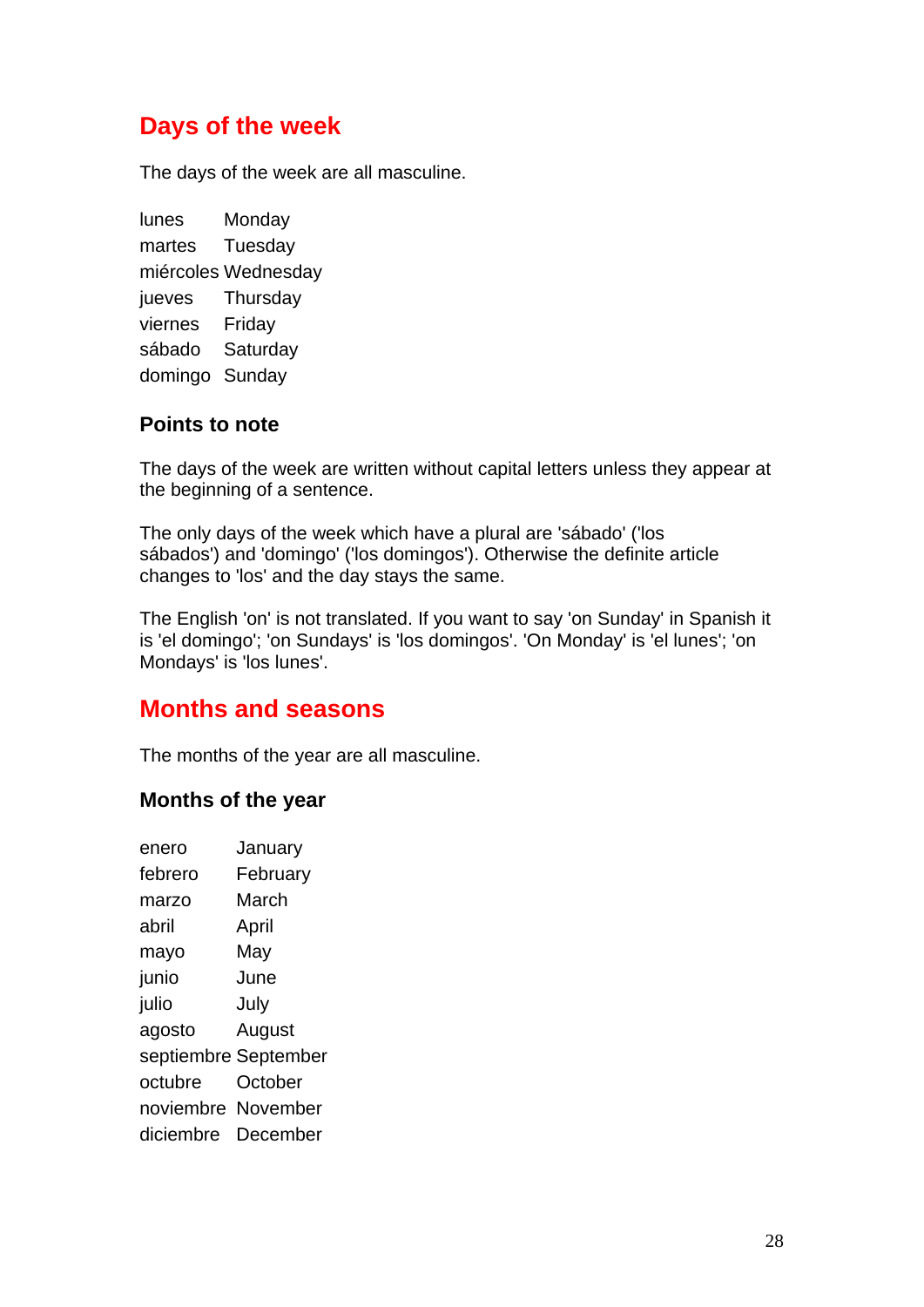## **Days of the week**

The days of the week are all masculine.

lunes Monday martes Tuesday miércoles Wednesday jueves Thursday viernes Friday sábado Saturday domingo Sunday

### **Points to note**

The days of the week are written without capital letters unless they appear at the beginning of a sentence.

The only days of the week which have a plural are 'sábado' ('los sábados') and 'domingo' ('los domingos'). Otherwise the definite article changes to 'los' and the day stays the same.

The English 'on' is not translated. If you want to say 'on Sunday' in Spanish it is 'el domingo'; 'on Sundays' is 'los domingos'. 'On Monday' is 'el lunes'; 'on Mondays' is 'los lunes'.

## **Months and seasons**

The months of the year are all masculine.

#### **Months of the year**

| January              |
|----------------------|
| February             |
| March                |
| April                |
| May                  |
| June                 |
| July                 |
| August               |
| septiembre September |
| October              |
| noviembre November   |
| December             |
| diciembre            |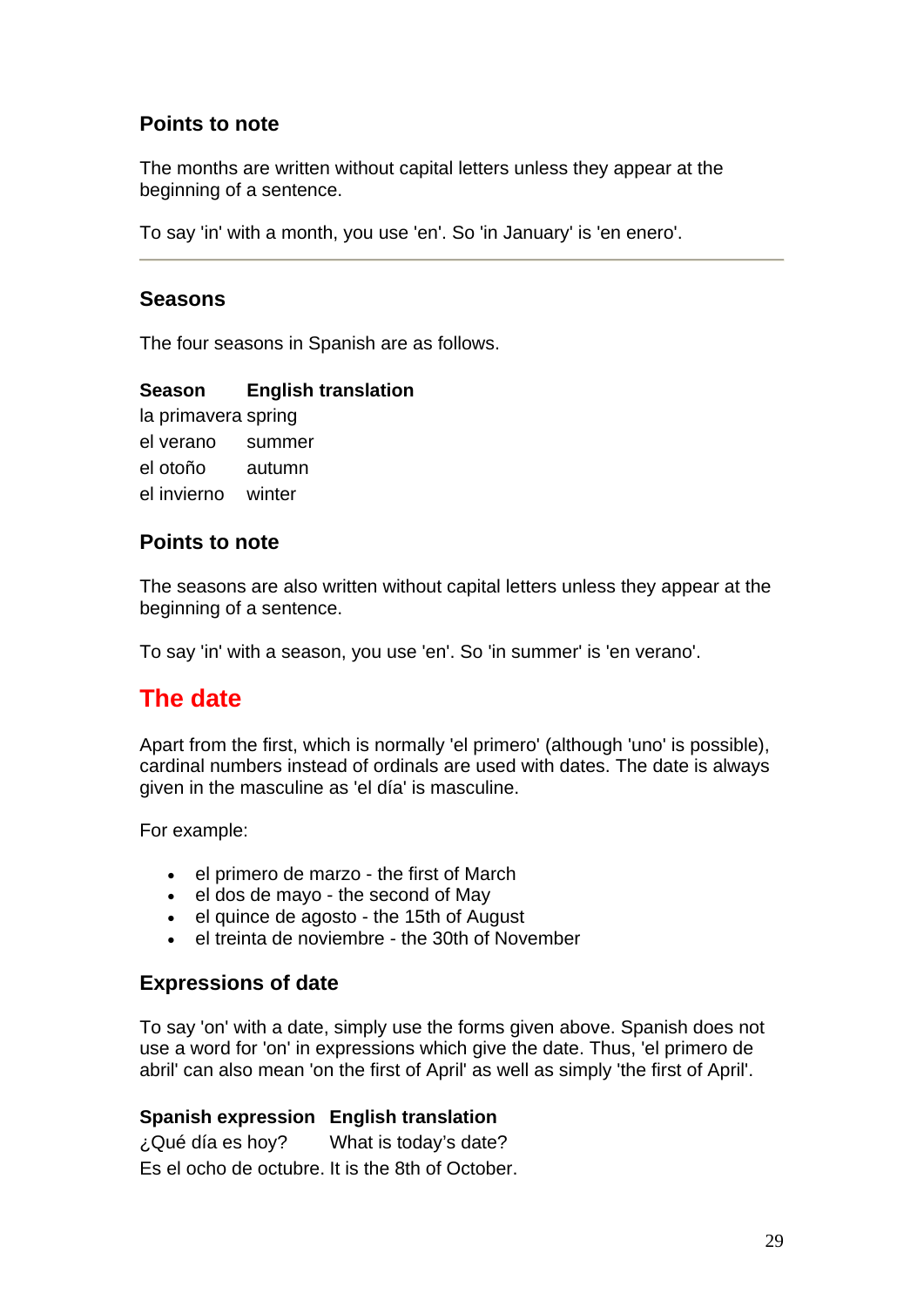## **Points to note**

The months are written without capital letters unless they appear at the beginning of a sentence.

To say 'in' with a month, you use 'en'. So 'in January' is 'en enero'.

#### **Seasons**

The four seasons in Spanish are as follows.

#### **Season English translation**

la primavera spring el verano summer el otoño autumn el invierno winter

### **Points to note**

The seasons are also written without capital letters unless they appear at the beginning of a sentence.

To say 'in' with a season, you use 'en'. So 'in summer' is 'en verano'.

## **The date**

Apart from the first, which is normally 'el primero' (although 'uno' is possible), cardinal numbers instead of ordinals are used with dates. The date is always given in the masculine as 'el día' is masculine.

For example:

- el primero de marzo the first of March
- el dos de mayo the second of May
- el quince de agosto the 15th of August
- el treinta de noviembre the 30th of November

#### **Expressions of date**

To say 'on' with a date, simply use the forms given above. Spanish does not use a word for 'on' in expressions which give the date. Thus, 'el primero de abril' can also mean 'on the first of April' as well as simply 'the first of April'.

#### **Spanish expression English translation**

¿Qué día es hoy? What is today's date? Es el ocho de octubre. It is the 8th of October.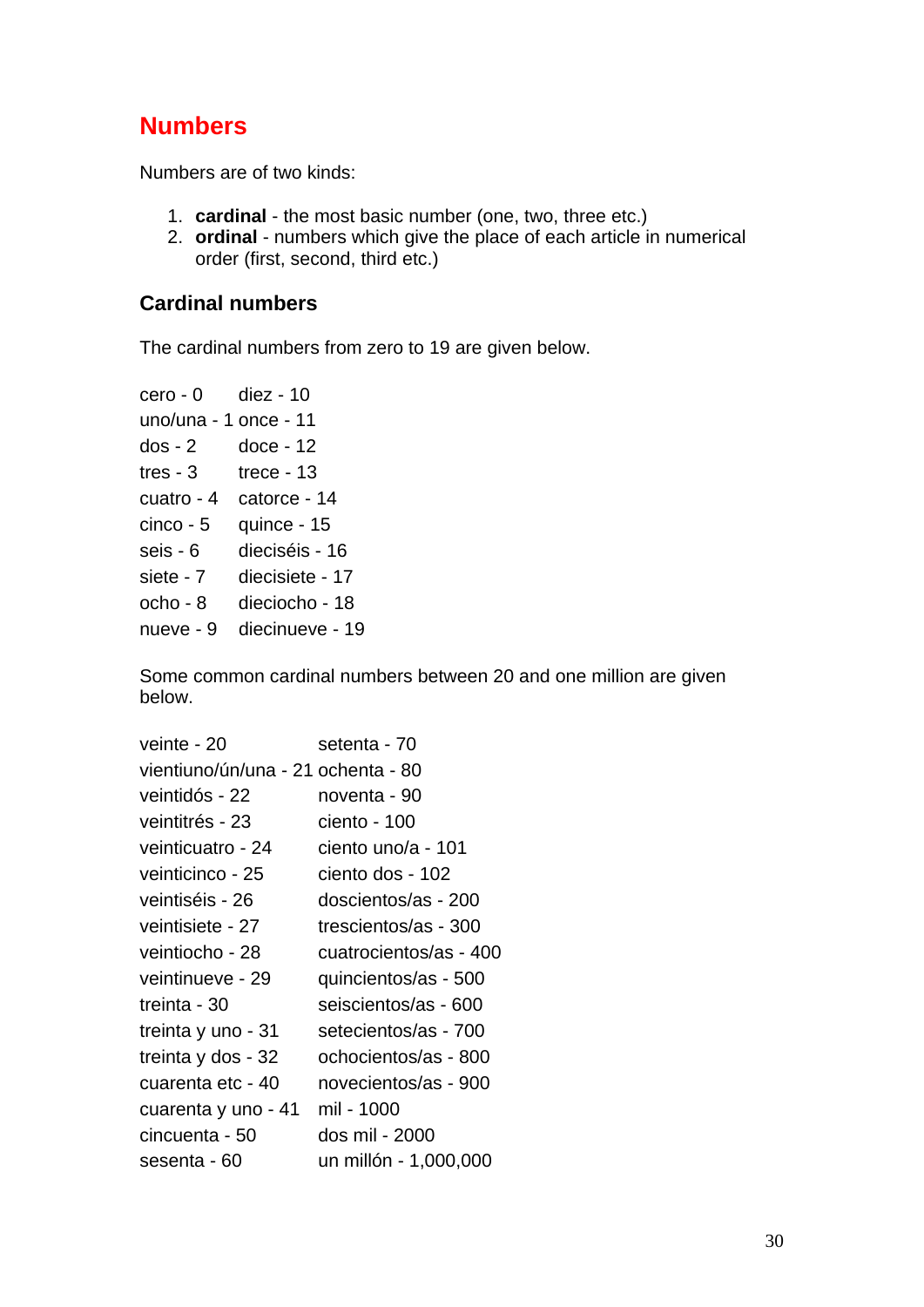## **Numbers**

Numbers are of two kinds:

- 1. **cardinal** the most basic number (one, two, three etc.)
- 2. **ordinal** numbers which give the place of each article in numerical order (first, second, third etc.)

#### **Cardinal numbers**

The cardinal numbers from zero to 19 are given below.

```
cero - 0 diez - 10
uno/una - 1 once - 11 
dos - 2 doce - 12 
tres - 3 trece - 13
cuatro - 4 catorce - 14 
cinco - 5 quince - 15 
seis - 6 dieciséis - 16 
siete - 7 diecisiete - 17 
ocho - 8 dieciocho - 18 
nueve - 9 diecinueve - 19
```
Some common cardinal numbers between 20 and one million are given below.

| veinte - 20                        | setenta - 70           |
|------------------------------------|------------------------|
| vientiuno/ún/una - 21 ochenta - 80 |                        |
| veintidós - 22                     | noventa - 90           |
| veintitrés - 23                    | ciento - 100           |
| veinticuatro - 24                  | ciento uno/a - 101     |
| veinticinco - 25                   | ciento dos - 102       |
| veintiséis - 26                    | doscientos/as - 200    |
| veintisiete - 27                   | trescientos/as - 300   |
| veintiocho - 28                    | cuatrocientos/as - 400 |
| veintinueve - 29                   | quincientos/as - 500   |
| treinta - 30                       | seiscientos/as - 600   |
| treinta y uno - 31                 | setecientos/as - 700   |
| treinta y dos - 32                 | ochocientos/as - 800   |
| cuarenta etc - 40                  | novecientos/as - 900   |
| cuarenta y uno - 41                | mil - 1000             |
| cincuenta - 50                     | dos mil - 2000         |
| sesenta - 60                       | un millón - 1,000,000  |
|                                    |                        |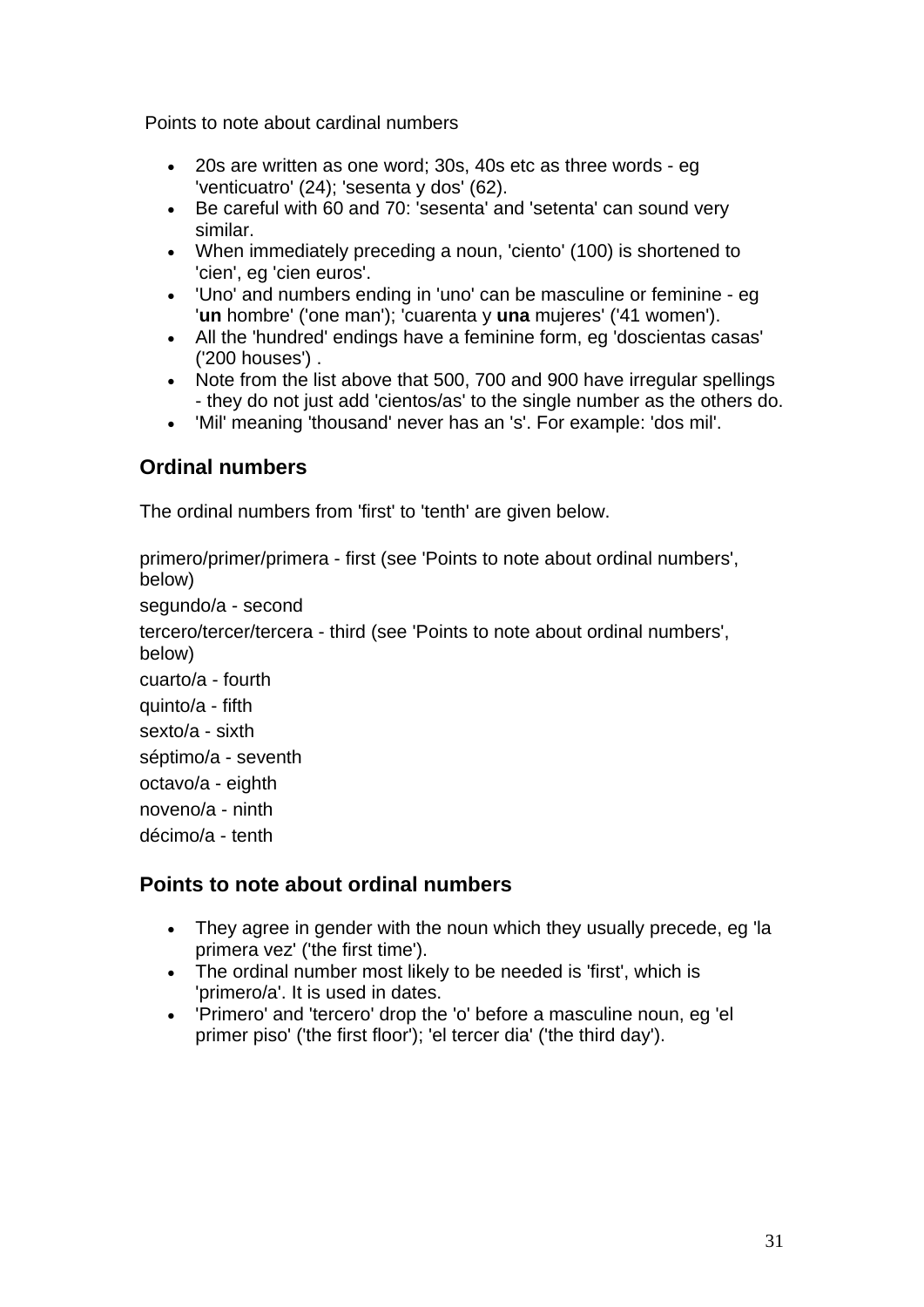Points to note about cardinal numbers

- 20s are written as one word; 30s, 40s etc as three words eg 'venticuatro' (24); 'sesenta y dos' (62).
- Be careful with 60 and 70: 'sesenta' and 'setenta' can sound very similar.
- When immediately preceding a noun, 'ciento' (100) is shortened to 'cien', eg 'cien euros'.
- 'Uno' and numbers ending in 'uno' can be masculine or feminine eg '**un** hombre' ('one man'); 'cuarenta y **una** mujeres' ('41 women').
- All the 'hundred' endings have a feminine form, eg 'doscientas casas' ('200 houses') .
- Note from the list above that 500, 700 and 900 have irregular spellings - they do not just add 'cientos/as' to the single number as the others do.
- 'Mil' meaning 'thousand' never has an 's'. For example: 'dos mil'.

## **Ordinal numbers**

The ordinal numbers from 'first' to 'tenth' are given below.

primero/primer/primera - first (see 'Points to note about ordinal numbers', below) segundo/a - second tercero/tercer/tercera - third (see 'Points to note about ordinal numbers', below) cuarto/a - fourth quinto/a - fifth sexto/a - sixth séptimo/a - seventh octavo/a - eighth noveno/a - ninth décimo/a - tenth

## **Points to note about ordinal numbers**

- They agree in gender with the noun which they usually precede, eg 'la primera vez' ('the first time').
- The ordinal number most likely to be needed is 'first', which is 'primero/a'. It is used in dates.
- 'Primero' and 'tercero' drop the 'o' before a masculine noun, eg 'el primer piso' ('the first floor'); 'el tercer dia' ('the third day').